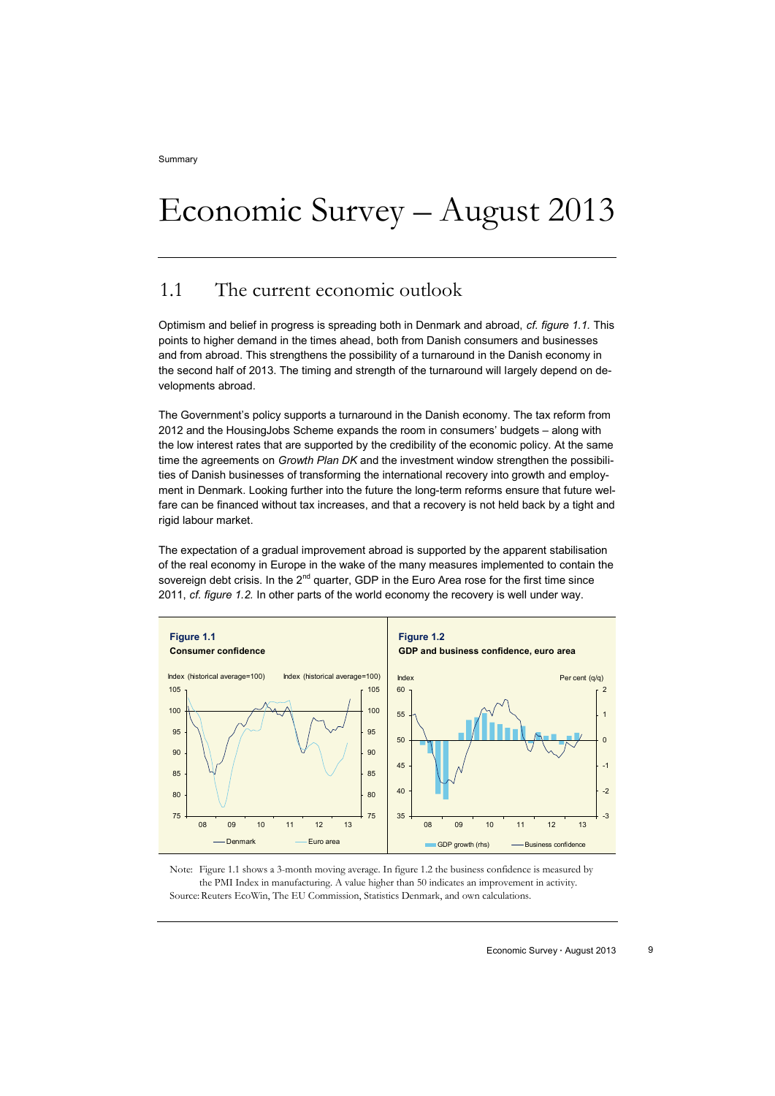# Economic Survey – August 2013

## 1.1 The current economic outlook

Optimism and belief in progress is spreading both in Denmark and abroad, *cf. figure 1.1.* This points to higher demand in the times ahead, both from Danish consumers and businesses and from abroad. This strengthens the possibility of a turnaround in the Danish economy in the second half of 2013. The timing and strength of the turnaround will largely depend on developments abroad.

The Government's policy supports a turnaround in the Danish economy. The tax reform from 2012 and the HousingJobs Scheme expands the room in consumers' budgets – along with the low interest rates that are supported by the credibility of the economic policy. At the same time the agreements on *Growth Plan DK* and the investment window strengthen the possibilities of Danish businesses of transforming the international recovery into growth and employment in Denmark. Looking further into the future the long-term reforms ensure that future welfare can be financed without tax increases, and that a recovery is not held back by a tight and rigid labour market.

The expectation of a gradual improvement abroad is supported by the apparent stabilisation of the real economy in Europe in the wake of the many measures implemented to contain the sovereign debt crisis. In the 2<sup>nd</sup> quarter, GDP in the Euro Area rose for the first time since 2011, *cf. figure 1.2.* In other parts of the world economy the recovery is well under way.



Note: Figure 1.1 shows a 3-month moving average. In figure 1.2 the business confidence is measured by the PMI Index in manufacturing. A value higher than 50 indicates an improvement in activity. Source: Reuters EcoWin, The EU Commission, Statistics Denmark, and own calculations.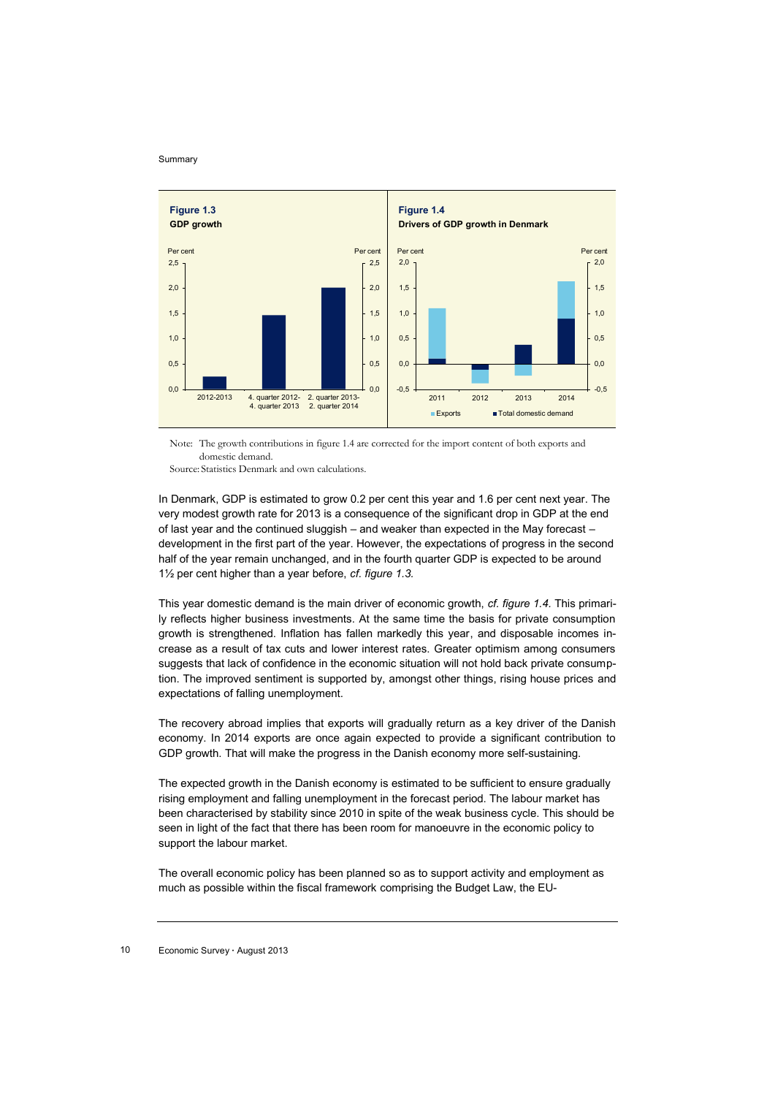

Note: The growth contributions in figure 1.4 are corrected for the import content of both exports and domestic demand.

Source: Statistics Denmark and own calculations.

In Denmark, GDP is estimated to grow 0.2 per cent this year and 1.6 per cent next year. The very modest growth rate for 2013 is a consequence of the significant drop in GDP at the end of last year and the continued sluggish – and weaker than expected in the May forecast – development in the first part of the year. However, the expectations of progress in the second half of the year remain unchanged, and in the fourth quarter GDP is expected to be around 1½ per cent higher than a year before, *cf. figure 1.3.* 

This year domestic demand is the main driver of economic growth, *cf. figure 1.4.* This primarily reflects higher business investments. At the same time the basis for private consumption growth is strengthened. Inflation has fallen markedly this year, and disposable incomes increase as a result of tax cuts and lower interest rates. Greater optimism among consumers suggests that lack of confidence in the economic situation will not hold back private consumption. The improved sentiment is supported by, amongst other things, rising house prices and expectations of falling unemployment.

The recovery abroad implies that exports will gradually return as a key driver of the Danish economy. In 2014 exports are once again expected to provide a significant contribution to GDP growth. That will make the progress in the Danish economy more self-sustaining.

The expected growth in the Danish economy is estimated to be sufficient to ensure gradually rising employment and falling unemployment in the forecast period. The labour market has been characterised by stability since 2010 in spite of the weak business cycle. This should be seen in light of the fact that there has been room for manoeuvre in the economic policy to support the labour market.

The overall economic policy has been planned so as to support activity and employment as much as possible within the fiscal framework comprising the Budget Law, the EU-

### 10 Economic Survey **∙** August 2013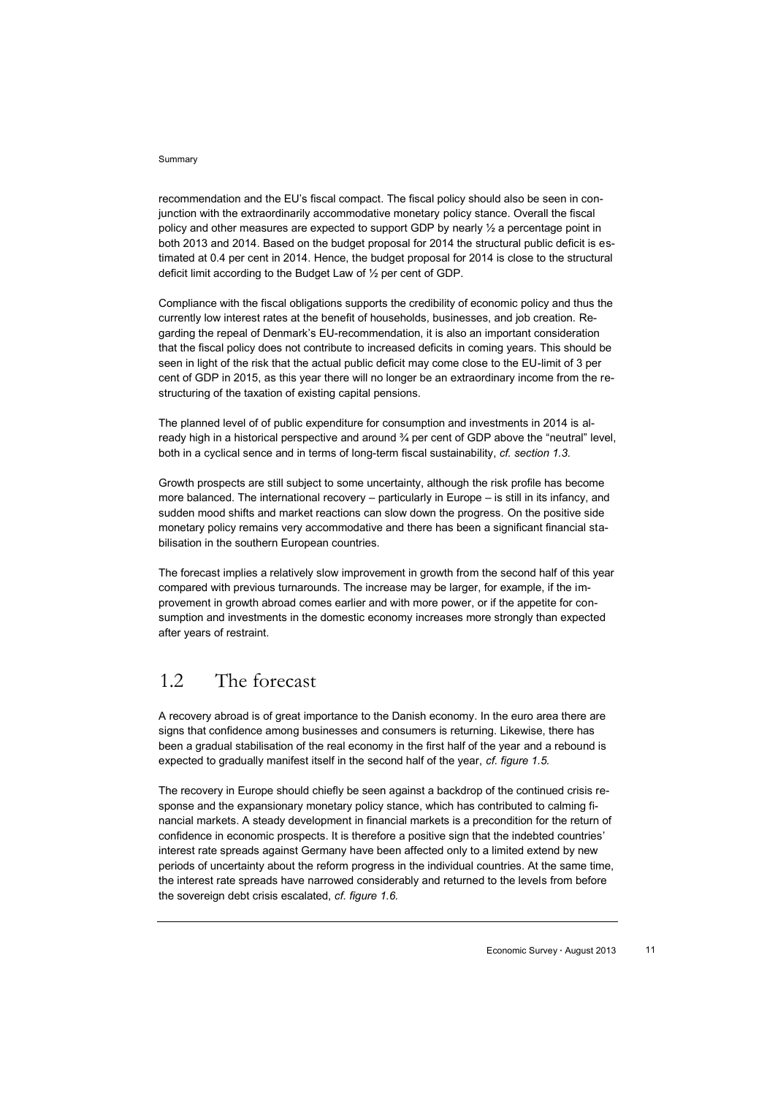recommendation and the EU's fiscal compact. The fiscal policy should also be seen in conjunction with the extraordinarily accommodative monetary policy stance. Overall the fiscal policy and other measures are expected to support GDP by nearly ½ a percentage point in both 2013 and 2014. Based on the budget proposal for 2014 the structural public deficit is estimated at 0.4 per cent in 2014. Hence, the budget proposal for 2014 is close to the structural deficit limit according to the Budget Law of ½ per cent of GDP.

Compliance with the fiscal obligations supports the credibility of economic policy and thus the currently low interest rates at the benefit of households, businesses, and job creation. Regarding the repeal of Denmark's EU-recommendation, it is also an important consideration that the fiscal policy does not contribute to increased deficits in coming years. This should be seen in light of the risk that the actual public deficit may come close to the EU-limit of 3 per cent of GDP in 2015, as this year there will no longer be an extraordinary income from the restructuring of the taxation of existing capital pensions.

The planned level of of public expenditure for consumption and investments in 2014 is already high in a historical perspective and around ¾ per cent of GDP above the "neutral" level, both in a cyclical sence and in terms of long-term fiscal sustainability, *cf. section 1.3.*

Growth prospects are still subject to some uncertainty, although the risk profile has become more balanced. The international recovery – particularly in Europe – is still in its infancy, and sudden mood shifts and market reactions can slow down the progress. On the positive side monetary policy remains very accommodative and there has been a significant financial stabilisation in the southern European countries.

The forecast implies a relatively slow improvement in growth from the second half of this year compared with previous turnarounds. The increase may be larger, for example, if the improvement in growth abroad comes earlier and with more power, or if the appetite for consumption and investments in the domestic economy increases more strongly than expected after years of restraint.

# 1.2 The forecast

A recovery abroad is of great importance to the Danish economy. In the euro area there are signs that confidence among businesses and consumers is returning. Likewise, there has been a gradual stabilisation of the real economy in the first half of the year and a rebound is expected to gradually manifest itself in the second half of the year, *cf. figure 1.5.*

The recovery in Europe should chiefly be seen against a backdrop of the continued crisis response and the expansionary monetary policy stance, which has contributed to calming financial markets. A steady development in financial markets is a precondition for the return of confidence in economic prospects. It is therefore a positive sign that the indebted countries' interest rate spreads against Germany have been affected only to a limited extend by new periods of uncertainty about the reform progress in the individual countries. At the same time, the interest rate spreads have narrowed considerably and returned to the levels from before the sovereign debt crisis escalated, *cf. figure 1.6.*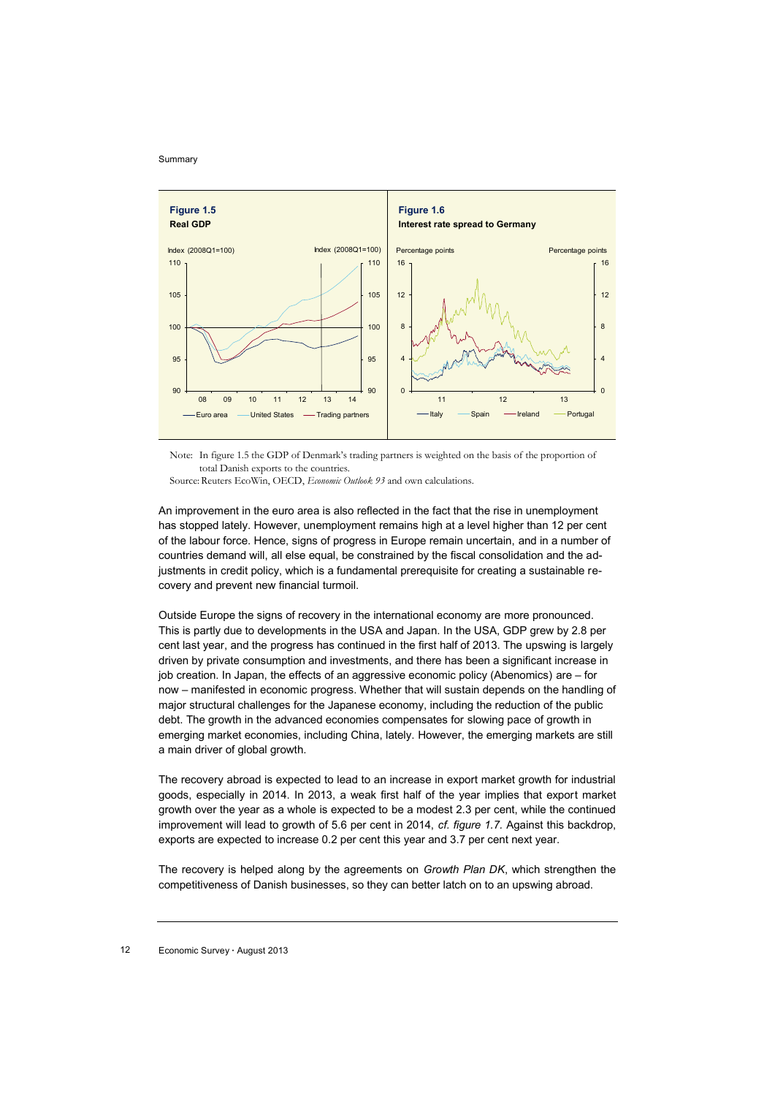

Note: In figure 1.5 the GDP of Denmark's trading partners is weighted on the basis of the proportion of total Danish exports to the countries.

Source: Reuters EcoWin, OECD, *Economic Outlook 93* and own calculations.

An improvement in the euro area is also reflected in the fact that the rise in unemployment has stopped lately. However, unemployment remains high at a level higher than 12 per cent of the labour force. Hence, signs of progress in Europe remain uncertain, and in a number of countries demand will, all else equal, be constrained by the fiscal consolidation and the adjustments in credit policy, which is a fundamental prerequisite for creating a sustainable recovery and prevent new financial turmoil.

Outside Europe the signs of recovery in the international economy are more pronounced. This is partly due to developments in the USA and Japan. In the USA, GDP grew by 2.8 per cent last year, and the progress has continued in the first half of 2013. The upswing is largely driven by private consumption and investments, and there has been a significant increase in job creation. In Japan, the effects of an aggressive economic policy (Abenomics) are – for now – manifested in economic progress. Whether that will sustain depends on the handling of major structural challenges for the Japanese economy, including the reduction of the public debt. The growth in the advanced economies compensates for slowing pace of growth in emerging market economies, including China, lately. However, the emerging markets are still a main driver of global growth.

The recovery abroad is expected to lead to an increase in export market growth for industrial goods, especially in 2014. In 2013, a weak first half of the year implies that export market growth over the year as a whole is expected to be a modest 2.3 per cent, while the continued improvement will lead to growth of 5.6 per cent in 2014, *cf. figure 1.7.* Against this backdrop, exports are expected to increase 0.2 per cent this year and 3.7 per cent next year.

The recovery is helped along by the agreements on *Growth Plan DK*, which strengthen the competitiveness of Danish businesses, so they can better latch on to an upswing abroad.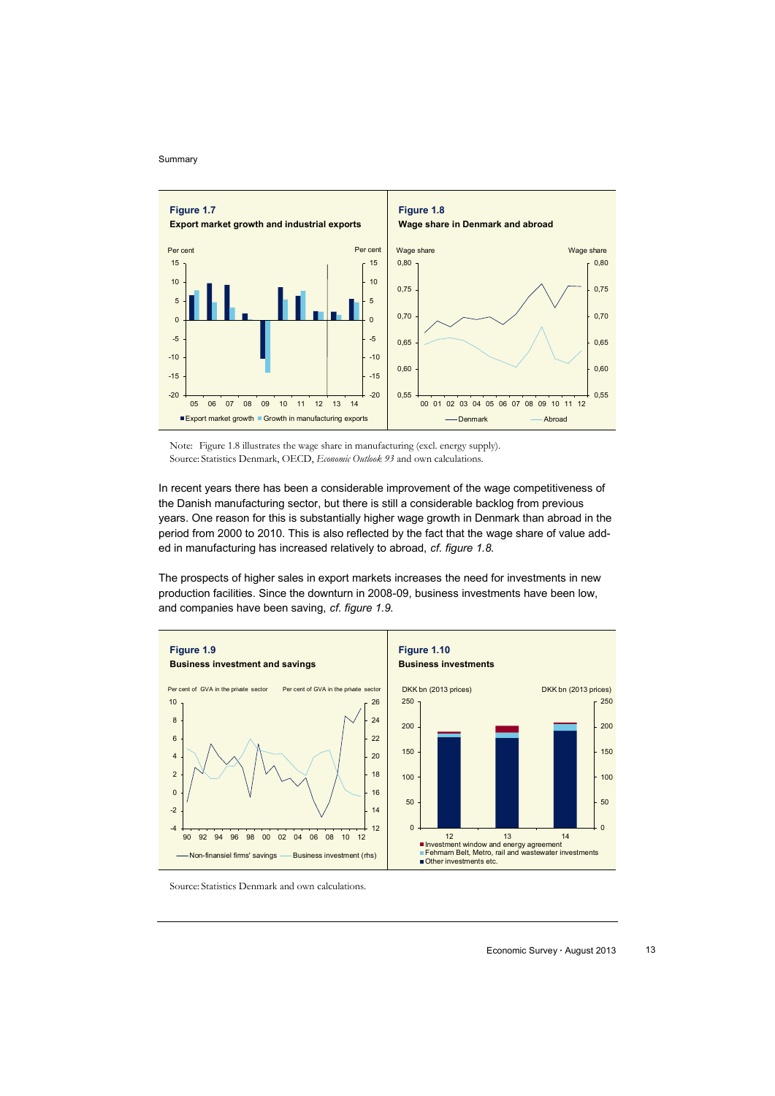

Note: Figure 1.8 illustrates the wage share in manufacturing (excl. energy supply). Source: Statistics Denmark, OECD, *Economic Outlook 93* and own calculations.

In recent years there has been a considerable improvement of the wage competitiveness of the Danish manufacturing sector, but there is still a considerable backlog from previous years. One reason for this is substantially higher wage growth in Denmark than abroad in the period from 2000 to 2010. This is also reflected by the fact that the wage share of value added in manufacturing has increased relatively to abroad, *cf. figure 1.8.*

The prospects of higher sales in export markets increases the need for investments in new production facilities. Since the downturn in 2008-09, business investments have been low, and companies have been saving, *cf. figure 1.9.* 



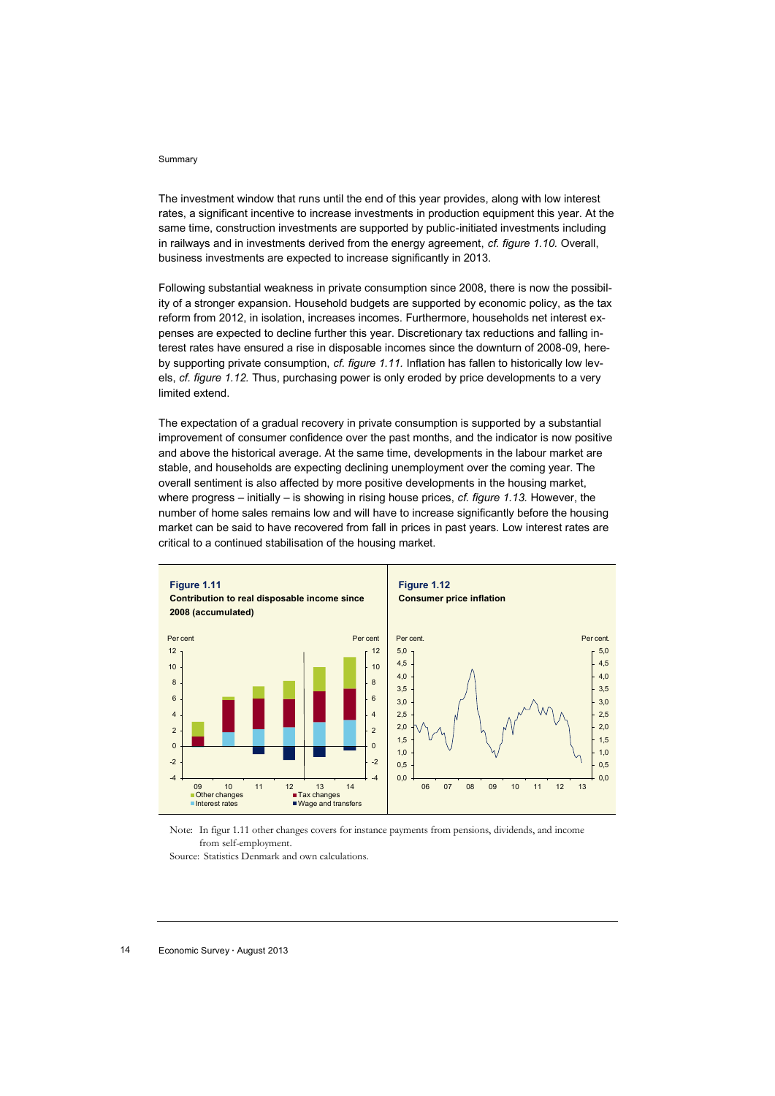The investment window that runs until the end of this year provides, along with low interest rates, a significant incentive to increase investments in production equipment this year. At the same time, construction investments are supported by public-initiated investments including in railways and in investments derived from the energy agreement, *cf. figure 1.10.* Overall, business investments are expected to increase significantly in 2013.

Following substantial weakness in private consumption since 2008, there is now the possibility of a stronger expansion. Household budgets are supported by economic policy, as the tax reform from 2012, in isolation, increases incomes. Furthermore, households net interest expenses are expected to decline further this year. Discretionary tax reductions and falling interest rates have ensured a rise in disposable incomes since the downturn of 2008-09, hereby supporting private consumption, *cf. figure 1.11.* Inflation has fallen to historically low levels, *cf. figure 1.12.* Thus, purchasing power is only eroded by price developments to a very limited extend.

The expectation of a gradual recovery in private consumption is supported by a substantial improvement of consumer confidence over the past months, and the indicator is now positive and above the historical average. At the same time, developments in the labour market are stable, and households are expecting declining unemployment over the coming year. The overall sentiment is also affected by more positive developments in the housing market, where progress – initially – is showing in rising house prices, *cf. figure 1.13.* However, the number of home sales remains low and will have to increase significantly before the housing market can be said to have recovered from fall in prices in past years. Low interest rates are critical to a continued stabilisation of the housing market.





Source: Statistics Denmark and own calculations.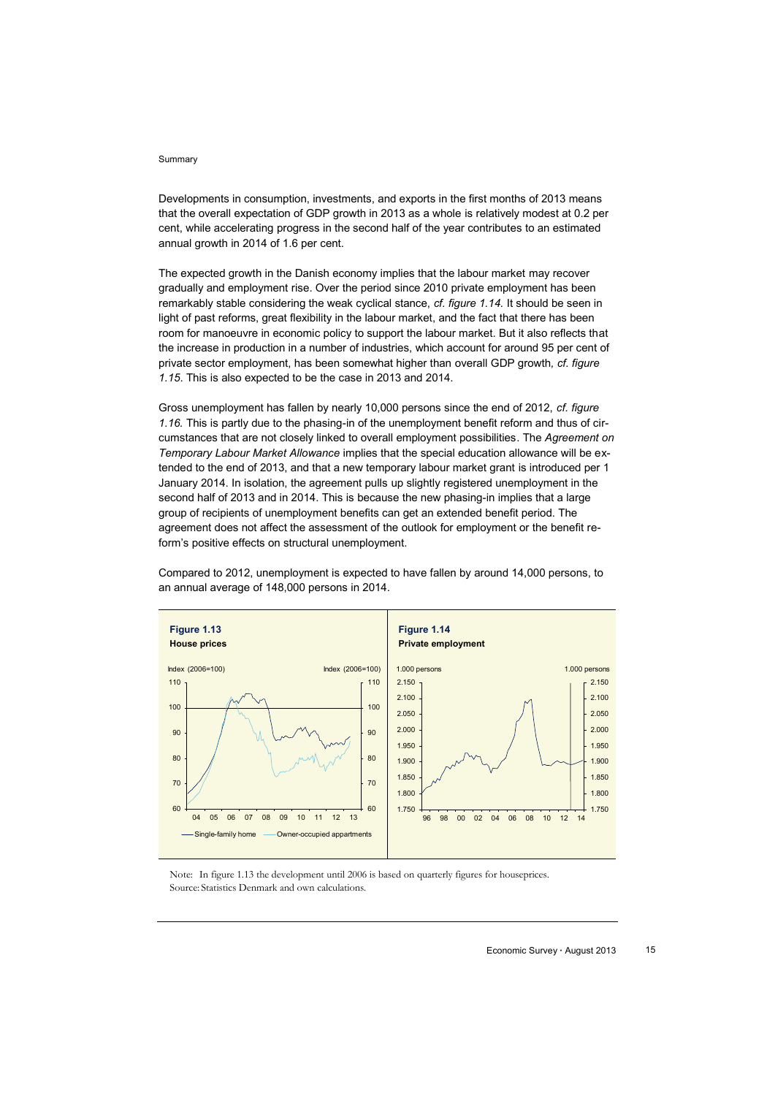Developments in consumption, investments, and exports in the first months of 2013 means that the overall expectation of GDP growth in 2013 as a whole is relatively modest at 0.2 per cent, while accelerating progress in the second half of the year contributes to an estimated annual growth in 2014 of 1.6 per cent.

The expected growth in the Danish economy implies that the labour market may recover gradually and employment rise. Over the period since 2010 private employment has been remarkably stable considering the weak cyclical stance, *cf. figure 1.14.* It should be seen in light of past reforms, great flexibility in the labour market, and the fact that there has been room for manoeuvre in economic policy to support the labour market. But it also reflects that the increase in production in a number of industries, which account for around 95 per cent of private sector employment, has been somewhat higher than overall GDP growth*, cf. figure 1.15*. This is also expected to be the case in 2013 and 2014.

Gross unemployment has fallen by nearly 10,000 persons since the end of 2012, *cf. figure 1.16.* This is partly due to the phasing-in of the unemployment benefit reform and thus of circumstances that are not closely linked to overall employment possibilities. The *Agreement on Temporary Labour Market Allowance* implies that the special education allowance will be extended to the end of 2013, and that a new temporary labour market grant is introduced per 1 January 2014. In isolation, the agreement pulls up slightly registered unemployment in the second half of 2013 and in 2014. This is because the new phasing-in implies that a large group of recipients of unemployment benefits can get an extended benefit period. The agreement does not affect the assessment of the outlook for employment or the benefit reform's positive effects on structural unemployment.



Compared to 2012, unemployment is expected to have fallen by around 14,000 persons, to an annual average of 148,000 persons in 2014.

Note: In figure 1.13 the development until 2006 is based on quarterly figures for houseprices. Source: Statistics Denmark and own calculations.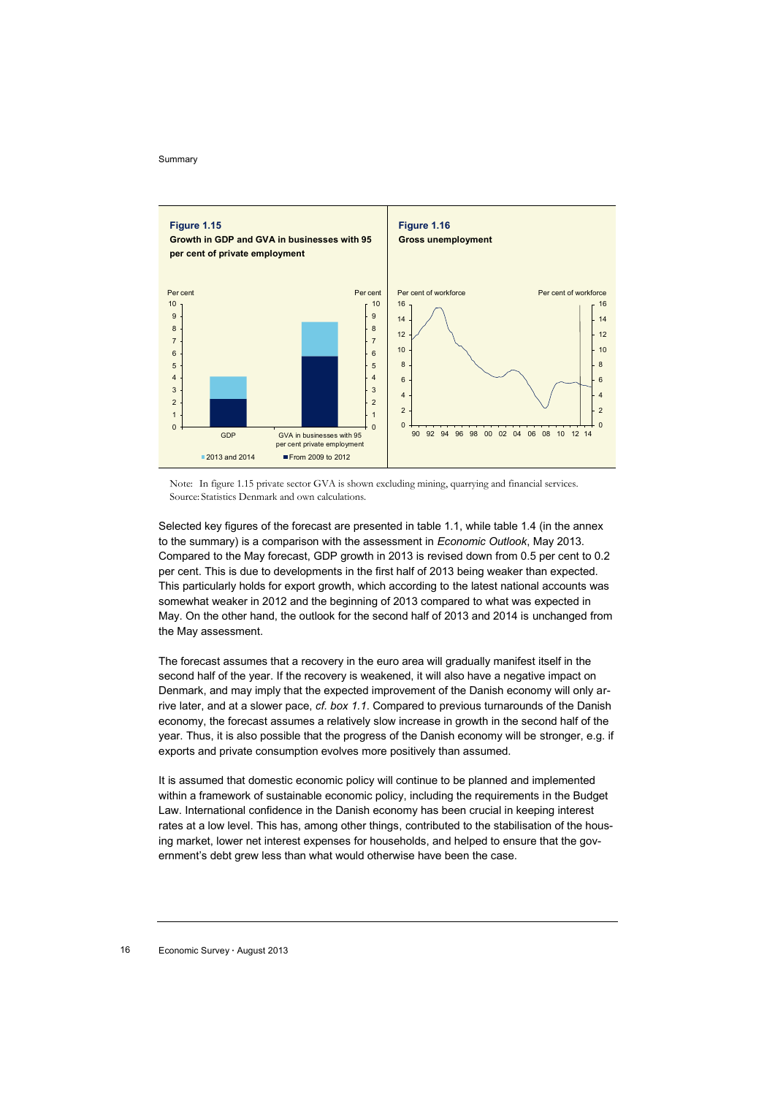

Note: In figure 1.15 private sector GVA is shown excluding mining, quarrying and financial services. Source: Statistics Denmark and own calculations.

Selected key figures of the forecast are presented in table 1.1, while table 1.4 (in the annex to the summary) is a comparison with the assessment in *Economic Outlook*, May 2013. Compared to the May forecast, GDP growth in 2013 is revised down from 0.5 per cent to 0.2 per cent. This is due to developments in the first half of 2013 being weaker than expected. This particularly holds for export growth, which according to the latest national accounts was somewhat weaker in 2012 and the beginning of 2013 compared to what was expected in May. On the other hand, the outlook for the second half of 2013 and 2014 is unchanged from the May assessment.

The forecast assumes that a recovery in the euro area will gradually manifest itself in the second half of the year. If the recovery is weakened, it will also have a negative impact on Denmark, and may imply that the expected improvement of the Danish economy will only arrive later, and at a slower pace, *cf. box 1.1*. Compared to previous turnarounds of the Danish economy, the forecast assumes a relatively slow increase in growth in the second half of the year. Thus, it is also possible that the progress of the Danish economy will be stronger, e.g. if exports and private consumption evolves more positively than assumed.

It is assumed that domestic economic policy will continue to be planned and implemented within a framework of sustainable economic policy, including the requirements in the Budget Law. International confidence in the Danish economy has been crucial in keeping interest rates at a low level. This has, among other things, contributed to the stabilisation of the housing market, lower net interest expenses for households, and helped to ensure that the government's debt grew less than what would otherwise have been the case.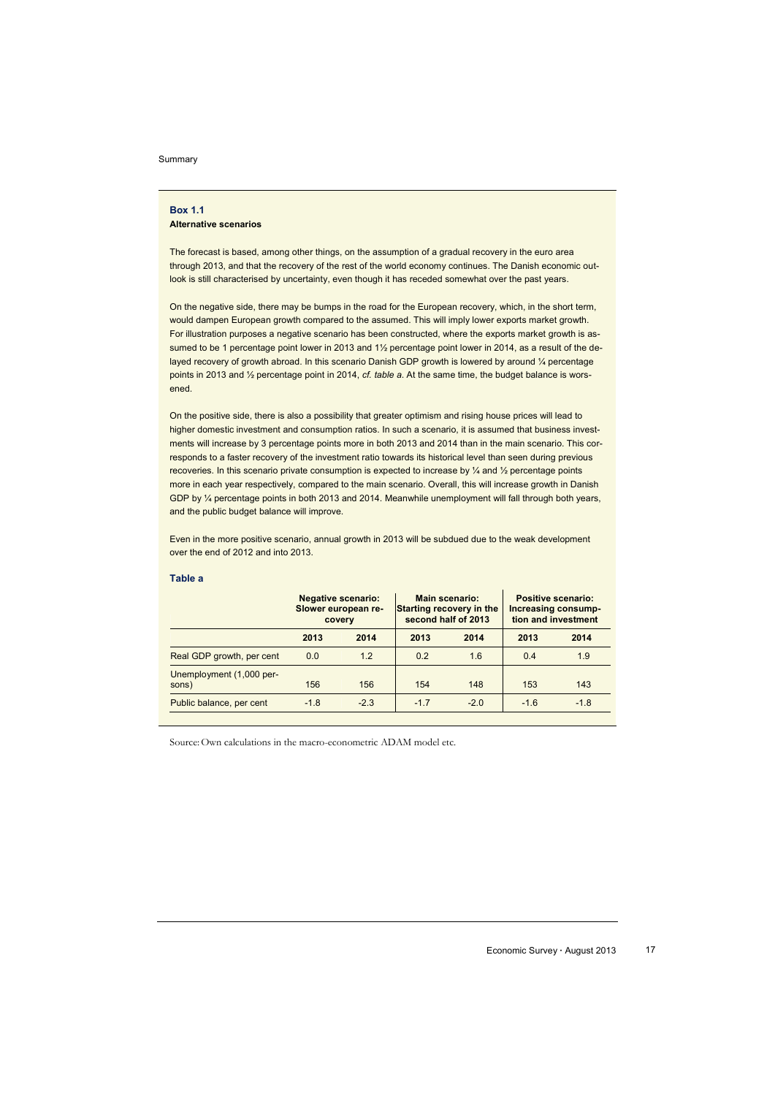### **Box 1.1 Alternative scenarios**

The forecast is based, among other things, on the assumption of a gradual recovery in the euro area through 2013, and that the recovery of the rest of the world economy continues. The Danish economic outlook is still characterised by uncertainty, even though it has receded somewhat over the past years.

On the negative side, there may be bumps in the road for the European recovery, which, in the short term, would dampen European growth compared to the assumed. This will imply lower exports market growth. For illustration purposes a negative scenario has been constructed, where the exports market growth is assumed to be 1 percentage point lower in 2013 and 11/2 percentage point lower in 2014, as a result of the delayed recovery of growth abroad. In this scenario Danish GDP growth is lowered by around 1/4 percentage points in 2013 and ½ percentage point in 2014, *cf. table a*. At the same time, the budget balance is worsened.

On the positive side, there is also a possibility that greater optimism and rising house prices will lead to higher domestic investment and consumption ratios. In such a scenario, it is assumed that business investments will increase by 3 percentage points more in both 2013 and 2014 than in the main scenario. This corresponds to a faster recovery of the investment ratio towards its historical level than seen during previous recoveries. In this scenario private consumption is expected to increase by ¼ and ½ percentage points more in each year respectively, compared to the main scenario. Overall, this will increase growth in Danish GDP by ¼ percentage points in both 2013 and 2014. Meanwhile unemployment will fall through both years, and the public budget balance will improve.

Even in the more positive scenario, annual growth in 2013 will be subdued due to the weak development over the end of 2012 and into 2013.

### **Table a**

| <b>Negative scenario:</b><br>Slower european re-<br>covery |        |        |        | <b>Positive scenario:</b><br>Increasing consump-<br>tion and investment |        |  |
|------------------------------------------------------------|--------|--------|--------|-------------------------------------------------------------------------|--------|--|
| 2013                                                       | 2014   | 2013   | 2014   | 2013                                                                    | 2014   |  |
| 0.0                                                        | 1.2    | 0.2    | 1.6    | 0.4                                                                     | 1.9    |  |
| 156                                                        | 156    | 154    | 148    | 153                                                                     | 143    |  |
| $-1.8$                                                     | $-2.3$ | $-1.7$ | $-2.0$ | $-1.6$                                                                  | $-1.8$ |  |
|                                                            |        |        |        | Main scenario:<br>Starting recovery in the<br>second half of 2013       |        |  |

Source:Own calculations in the macro-econometric ADAM model etc.

Economic Survey **∙** August 2013 17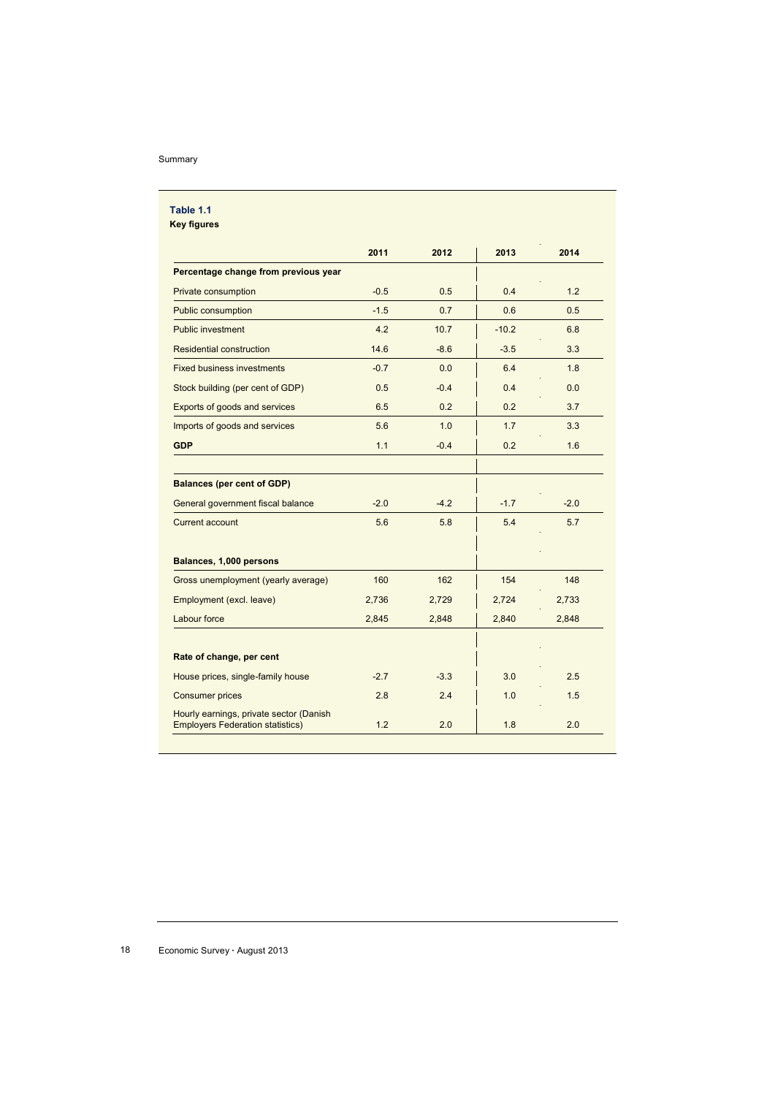|                                                                                    | 2011   | 2012   | 2013    | 2014   |
|------------------------------------------------------------------------------------|--------|--------|---------|--------|
| Percentage change from previous year                                               |        |        |         |        |
| Private consumption                                                                | $-0.5$ | 0.5    | 0.4     | 1.2    |
| Public consumption                                                                 | $-1.5$ | 0.7    | 0.6     | 0.5    |
| <b>Public investment</b>                                                           | 4.2    | 10.7   | $-10.2$ | 6.8    |
| <b>Residential construction</b>                                                    | 14.6   | $-8.6$ | $-3.5$  | 3.3    |
| <b>Fixed business investments</b>                                                  | $-0.7$ | 0.0    | 6.4     | 1.8    |
| Stock building (per cent of GDP)                                                   | 0.5    | $-0.4$ | 0.4     | 0.0    |
| Exports of goods and services                                                      | 6.5    | 0.2    | 0.2     | 3.7    |
| Imports of goods and services                                                      | 5.6    | 1.0    | 1.7     | 3.3    |
| <b>GDP</b>                                                                         | 1.1    | $-0.4$ | 0.2     | 1.6    |
| <b>Balances (per cent of GDP)</b><br>General government fiscal balance             | $-2.0$ | $-4.2$ | $-1.7$  | $-2.0$ |
|                                                                                    |        |        |         |        |
| <b>Current account</b>                                                             | 5.6    | 5.8    | 5.4     | 5.7    |
| Balances, 1,000 persons                                                            |        |        |         |        |
| Gross unemployment (yearly average)                                                | 160    | 162    | 154     | 148    |
| Employment (excl. leave)                                                           | 2,736  | 2,729  | 2,724   | 2,733  |
| Labour force                                                                       | 2,845  | 2,848  | 2,840   | 2,848  |
| Rate of change, per cent                                                           |        |        |         |        |
| House prices, single-family house                                                  | $-2.7$ | $-3.3$ | 3.0     | 2.5    |
| <b>Consumer prices</b>                                                             | 2.8    | 2.4    | 1.0     | 1.5    |
| Hourly earnings, private sector (Danish<br><b>Employers Federation statistics)</b> | 1.2    | 2.0    | 1.8     | 2.0    |

18 Economic Survey **∙** August 2013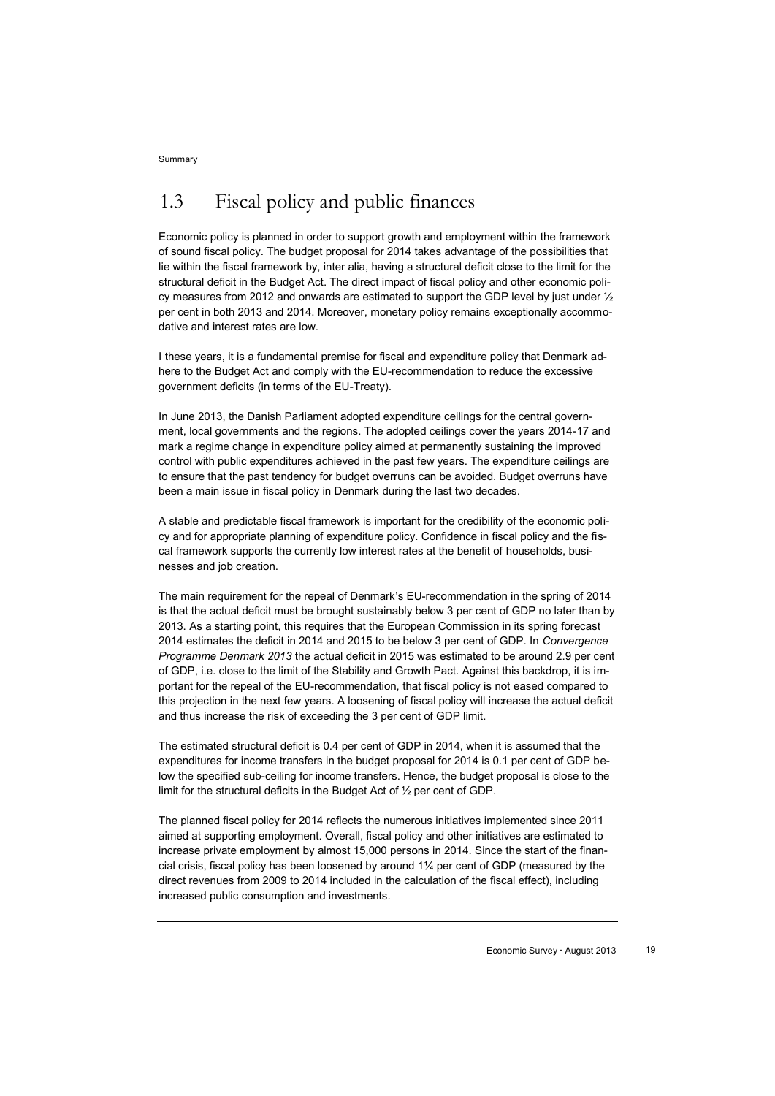# 1.3 Fiscal policy and public finances

Economic policy is planned in order to support growth and employment within the framework of sound fiscal policy. The budget proposal for 2014 takes advantage of the possibilities that lie within the fiscal framework by, inter alia, having a structural deficit close to the limit for the structural deficit in the Budget Act. The direct impact of fiscal policy and other economic policy measures from 2012 and onwards are estimated to support the GDP level by just under  $\frac{1}{2}$ per cent in both 2013 and 2014. Moreover, monetary policy remains exceptionally accommodative and interest rates are low.

I these years, it is a fundamental premise for fiscal and expenditure policy that Denmark adhere to the Budget Act and comply with the EU-recommendation to reduce the excessive government deficits (in terms of the EU-Treaty).

In June 2013, the Danish Parliament adopted expenditure ceilings for the central government, local governments and the regions. The adopted ceilings cover the years 2014-17 and mark a regime change in expenditure policy aimed at permanently sustaining the improved control with public expenditures achieved in the past few years. The expenditure ceilings are to ensure that the past tendency for budget overruns can be avoided. Budget overruns have been a main issue in fiscal policy in Denmark during the last two decades.

A stable and predictable fiscal framework is important for the credibility of the economic policy and for appropriate planning of expenditure policy. Confidence in fiscal policy and the fiscal framework supports the currently low interest rates at the benefit of households, businesses and job creation.

The main requirement for the repeal of Denmark's EU-recommendation in the spring of 2014 is that the actual deficit must be brought sustainably below 3 per cent of GDP no later than by 2013. As a starting point, this requires that the European Commission in its spring forecast 2014 estimates the deficit in 2014 and 2015 to be below 3 per cent of GDP. In *Convergence Programme Denmark 2013* the actual deficit in 2015 was estimated to be around 2.9 per cent of GDP, i.e. close to the limit of the Stability and Growth Pact. Against this backdrop, it is important for the repeal of the EU-recommendation, that fiscal policy is not eased compared to this projection in the next few years. A loosening of fiscal policy will increase the actual deficit and thus increase the risk of exceeding the 3 per cent of GDP limit.

The estimated structural deficit is 0.4 per cent of GDP in 2014, when it is assumed that the expenditures for income transfers in the budget proposal for 2014 is 0.1 per cent of GDP below the specified sub-ceiling for income transfers. Hence, the budget proposal is close to the limit for the structural deficits in the Budget Act of ½ per cent of GDP.

The planned fiscal policy for 2014 reflects the numerous initiatives implemented since 2011 aimed at supporting employment. Overall, fiscal policy and other initiatives are estimated to increase private employment by almost 15,000 persons in 2014. Since the start of the financial crisis, fiscal policy has been loosened by around 1¼ per cent of GDP (measured by the direct revenues from 2009 to 2014 included in the calculation of the fiscal effect), including increased public consumption and investments.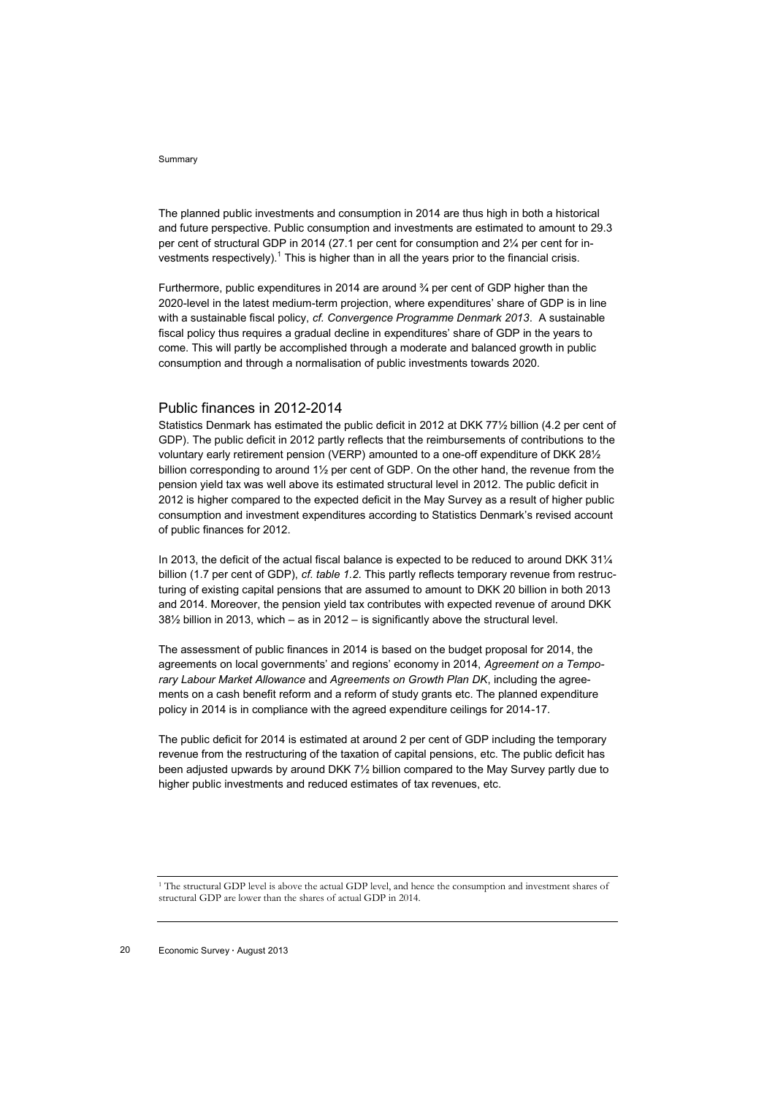The planned public investments and consumption in 2014 are thus high in both a historical and future perspective. Public consumption and investments are estimated to amount to 29.3 per cent of structural GDP in 2014 (27.1 per cent for consumption and 2¼ per cent for investments respectively).<sup>1</sup> This is higher than in all the years prior to the financial crisis.

Furthermore, public expenditures in 2014 are around  $\frac{3}{4}$  per cent of GDP higher than the 2020-level in the latest medium-term projection, where expenditures' share of GDP is in line with a sustainable fiscal policy, *cf. Convergence Programme Denmark 2013*. A sustainable fiscal policy thus requires a gradual decline in expenditures' share of GDP in the years to come. This will partly be accomplished through a moderate and balanced growth in public consumption and through a normalisation of public investments towards 2020.

### Public finances in 2012-2014

Statistics Denmark has estimated the public deficit in 2012 at DKK 77½ billion (4.2 per cent of GDP). The public deficit in 2012 partly reflects that the reimbursements of contributions to the voluntary early retirement pension (VERP) amounted to a one-off expenditure of DKK 28½ billion corresponding to around 1½ per cent of GDP. On the other hand, the revenue from the pension yield tax was well above its estimated structural level in 2012. The public deficit in 2012 is higher compared to the expected deficit in the May Survey as a result of higher public consumption and investment expenditures according to Statistics Denmark's revised account of public finances for 2012.

In 2013, the deficit of the actual fiscal balance is expected to be reduced to around DKK 311/4 billion (1.7 per cent of GDP), *cf*. *table 1.2*. This partly reflects temporary revenue from restructuring of existing capital pensions that are assumed to amount to DKK 20 billion in both 2013 and 2014. Moreover, the pension yield tax contributes with expected revenue of around DKK 38½ billion in 2013, which – as in 2012 – is significantly above the structural level.

The assessment of public finances in 2014 is based on the budget proposal for 2014, the agreements on local governments' and regions' economy in 2014, *Agreement on a Temporary Labour Market Allowance* and *Agreements on Growth Plan DK*, including the agreements on a cash benefit reform and a reform of study grants etc. The planned expenditure policy in 2014 is in compliance with the agreed expenditure ceilings for 2014-17.

The public deficit for 2014 is estimated at around 2 per cent of GDP including the temporary revenue from the restructuring of the taxation of capital pensions, etc. The public deficit has been adjusted upwards by around DKK 7½ billion compared to the May Survey partly due to higher public investments and reduced estimates of tax revenues, etc.

<sup>1</sup> The structural GDP level is above the actual GDP level, and hence the consumption and investment shares of structural GDP are lower than the shares of actual GDP in 2014.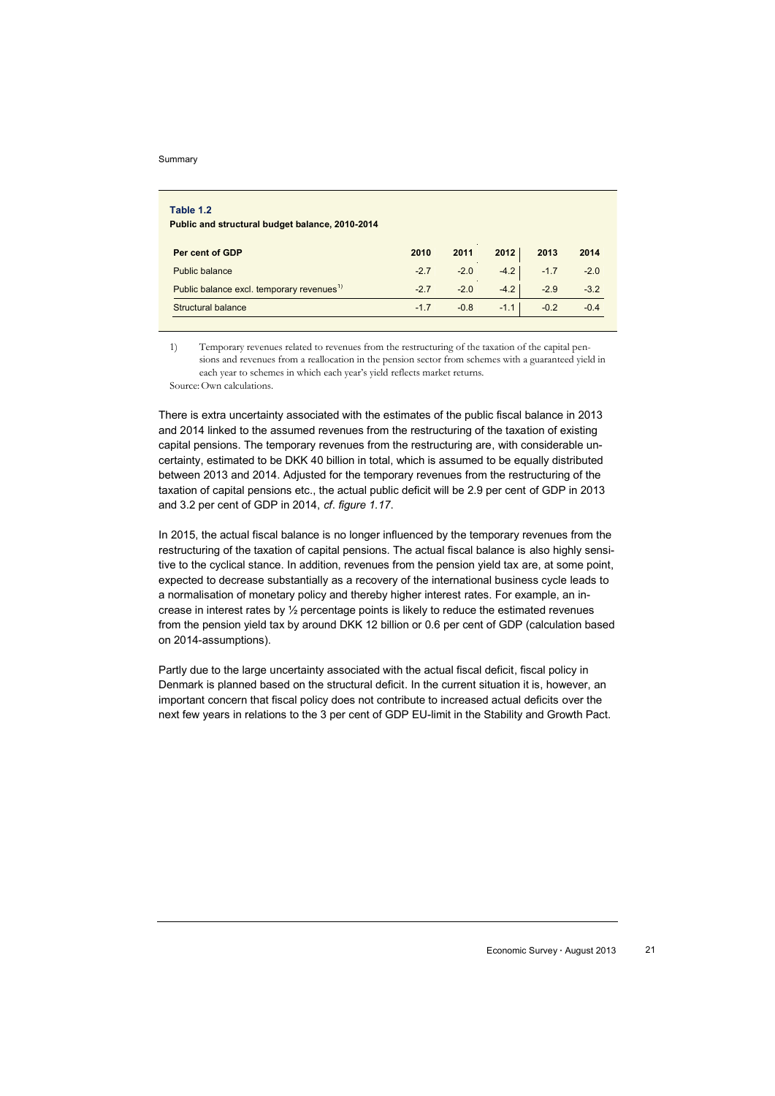Į

| Table 1.2<br>Public and structural budget balance, 2010-2014 |                          |        |        |        |        |
|--------------------------------------------------------------|--------------------------|--------|--------|--------|--------|
| Per cent of GDP                                              | 2010                     | 2011   | 2012   | 2013   | 2014   |
| <b>Public balance</b>                                        | a.<br><b>A</b><br>$-2.7$ | $-2.0$ | $-4.2$ | $-1.7$ | $-2.0$ |
| Public balance excl. temporary revenues <sup>1)</sup>        | $-2.7$                   | $-2.0$ | $-4.2$ | $-2.9$ | $-3.2$ |
| Structural balance                                           | $-1.7$                   | $-0.8$ | $-1.1$ | $-0.2$ | $-0.4$ |

1) Temporary revenues related to revenues from the restructuring of the taxation of the capital pensions and revenues from a reallocation in the pension sector from schemes with a guaranteed yield in each year to schemes in which each year's yield reflects market returns.

Source:Own calculations.

There is extra uncertainty associated with the estimates of the public fiscal balance in 2013 and 2014 linked to the assumed revenues from the restructuring of the taxation of existing capital pensions. The temporary revenues from the restructuring are, with considerable uncertainty, estimated to be DKK 40 billion in total, which is assumed to be equally distributed between 2013 and 2014. Adjusted for the temporary revenues from the restructuring of the taxation of capital pensions etc., the actual public deficit will be 2.9 per cent of GDP in 2013 and 3.2 per cent of GDP in 2014, *cf*. *figure 1.17*.

In 2015, the actual fiscal balance is no longer influenced by the temporary revenues from the restructuring of the taxation of capital pensions. The actual fiscal balance is also highly sensitive to the cyclical stance. In addition, revenues from the pension yield tax are, at some point, expected to decrease substantially as a recovery of the international business cycle leads to a normalisation of monetary policy and thereby higher interest rates. For example, an increase in interest rates by ½ percentage points is likely to reduce the estimated revenues from the pension yield tax by around DKK 12 billion or 0.6 per cent of GDP (calculation based on 2014-assumptions).

Partly due to the large uncertainty associated with the actual fiscal deficit, fiscal policy in Denmark is planned based on the structural deficit. In the current situation it is, however, an important concern that fiscal policy does not contribute to increased actual deficits over the next few years in relations to the 3 per cent of GDP EU-limit in the Stability and Growth Pact.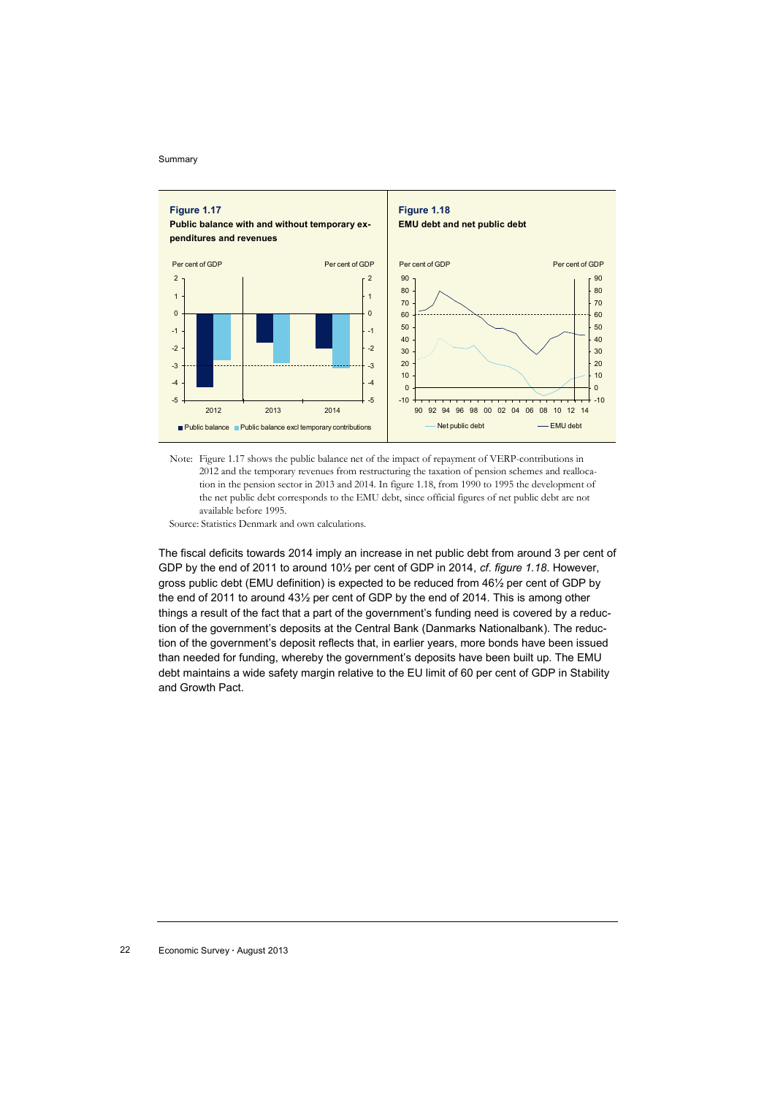

Note: Figure 1.17 shows the public balance net of the impact of repayment of VERP-contributions in 2012 and the temporary revenues from restructuring the taxation of pension schemes and reallocation in the pension sector in 2013 and 2014. In figure 1.18, from 1990 to 1995 the development of the net public debt corresponds to the EMU debt, since official figures of net public debt are not available before 1995.

Source: Statistics Denmark and own calculations.

The fiscal deficits towards 2014 imply an increase in net public debt from around 3 per cent of GDP by the end of 2011 to around 10½ per cent of GDP in 2014, *cf*. *figure 1.18*. However, gross public debt (EMU definition) is expected to be reduced from 46½ per cent of GDP by the end of 2011 to around 43½ per cent of GDP by the end of 2014. This is among other things a result of the fact that a part of the government's funding need is covered by a reduction of the government's deposits at the Central Bank (Danmarks Nationalbank). The reduction of the government's deposit reflects that, in earlier years, more bonds have been issued than needed for funding, whereby the government's deposits have been built up. The EMU debt maintains a wide safety margin relative to the EU limit of 60 per cent of GDP in Stability and Growth Pact.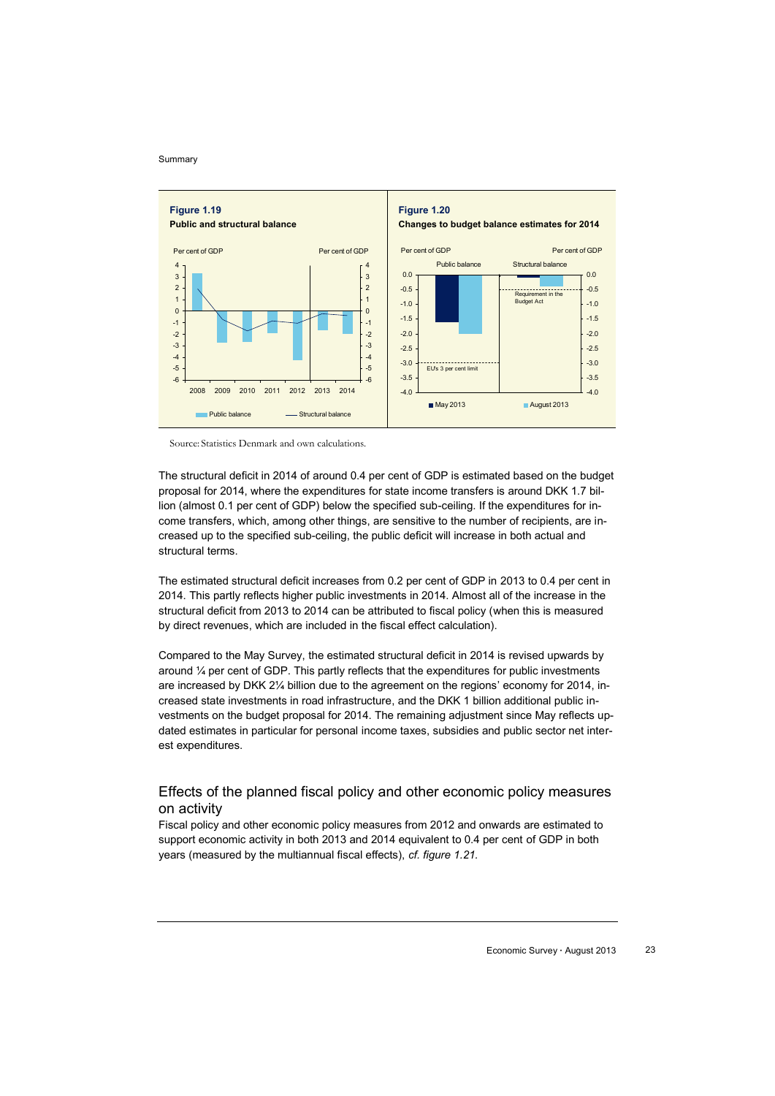

Source: Statistics Denmark and own calculations.

The structural deficit in 2014 of around 0.4 per cent of GDP is estimated based on the budget proposal for 2014, where the expenditures for state income transfers is around DKK 1.7 billion (almost 0.1 per cent of GDP) below the specified sub-ceiling. If the expenditures for income transfers, which, among other things, are sensitive to the number of recipients, are increased up to the specified sub-ceiling, the public deficit will increase in both actual and structural terms.

The estimated structural deficit increases from 0.2 per cent of GDP in 2013 to 0.4 per cent in 2014. This partly reflects higher public investments in 2014. Almost all of the increase in the structural deficit from 2013 to 2014 can be attributed to fiscal policy (when this is measured by direct revenues, which are included in the fiscal effect calculation).

Compared to the May Survey, the estimated structural deficit in 2014 is revised upwards by around ¼ per cent of GDP. This partly reflects that the expenditures for public investments are increased by DKK 2¼ billion due to the agreement on the regions' economy for 2014, increased state investments in road infrastructure, and the DKK 1 billion additional public investments on the budget proposal for 2014. The remaining adjustment since May reflects updated estimates in particular for personal income taxes, subsidies and public sector net interest expenditures.

### Effects of the planned fiscal policy and other economic policy measures on activity

Fiscal policy and other economic policy measures from 2012 and onwards are estimated to support economic activity in both 2013 and 2014 equivalent to 0.4 per cent of GDP in both years (measured by the multiannual fiscal effects), *cf. figure 1.21.*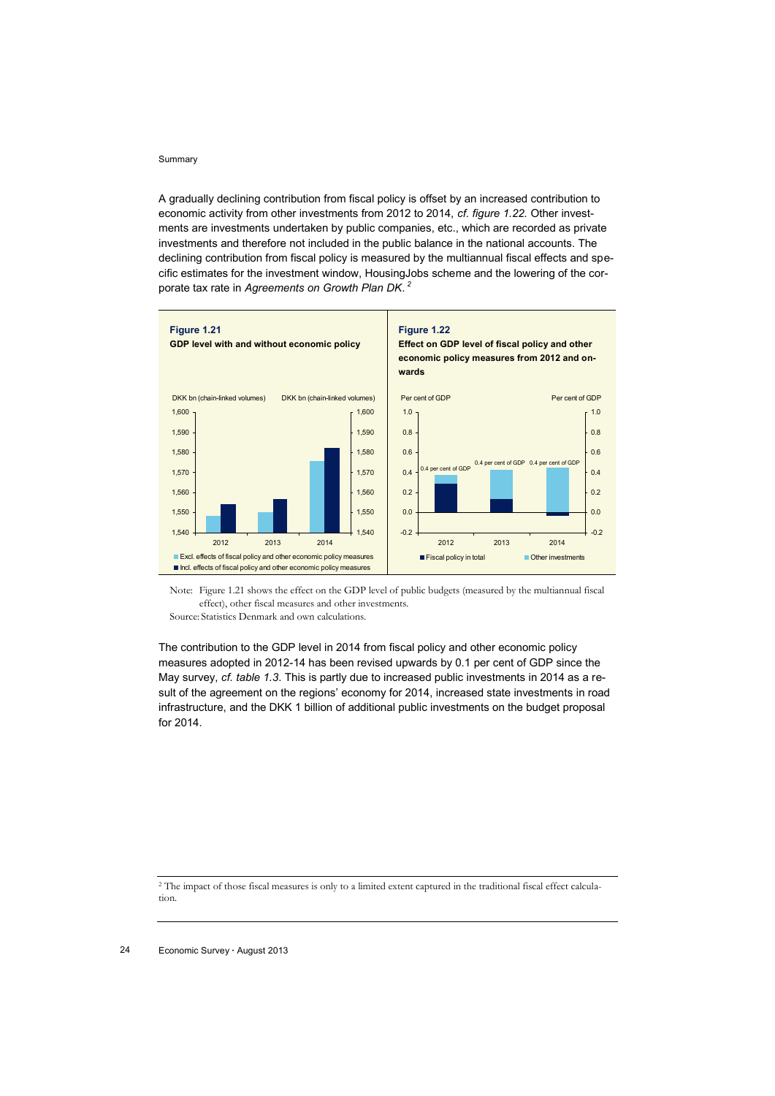A gradually declining contribution from fiscal policy is offset by an increased contribution to economic activity from other investments from 2012 to 2014, *cf. figure 1.22.* Other investments are investments undertaken by public companies, etc., which are recorded as private investments and therefore not included in the public balance in the national accounts. The declining contribution from fiscal policy is measured by the multiannual fiscal effects and specific estimates for the investment window, HousingJobs scheme and the lowering of the corporate tax rate in *Agreements on Growth Plan DK*. *2*



Note: Figure 1.21 shows the effect on the GDP level of public budgets (measured by the multiannual fiscal effect), other fiscal measures and other investments. Source: Statistics Denmark and own calculations.

The contribution to the GDP level in 2014 from fiscal policy and other economic policy measures adopted in 2012-14 has been revised upwards by 0.1 per cent of GDP since the May survey, *cf. table 1.3*. This is partly due to increased public investments in 2014 as a result of the agreement on the regions' economy for 2014, increased state investments in road infrastructure, and the DKK 1 billion of additional public investments on the budget proposal for 2014.

<sup>2</sup> The impact of those fiscal measures is only to a limited extent captured in the traditional fiscal effect calculation.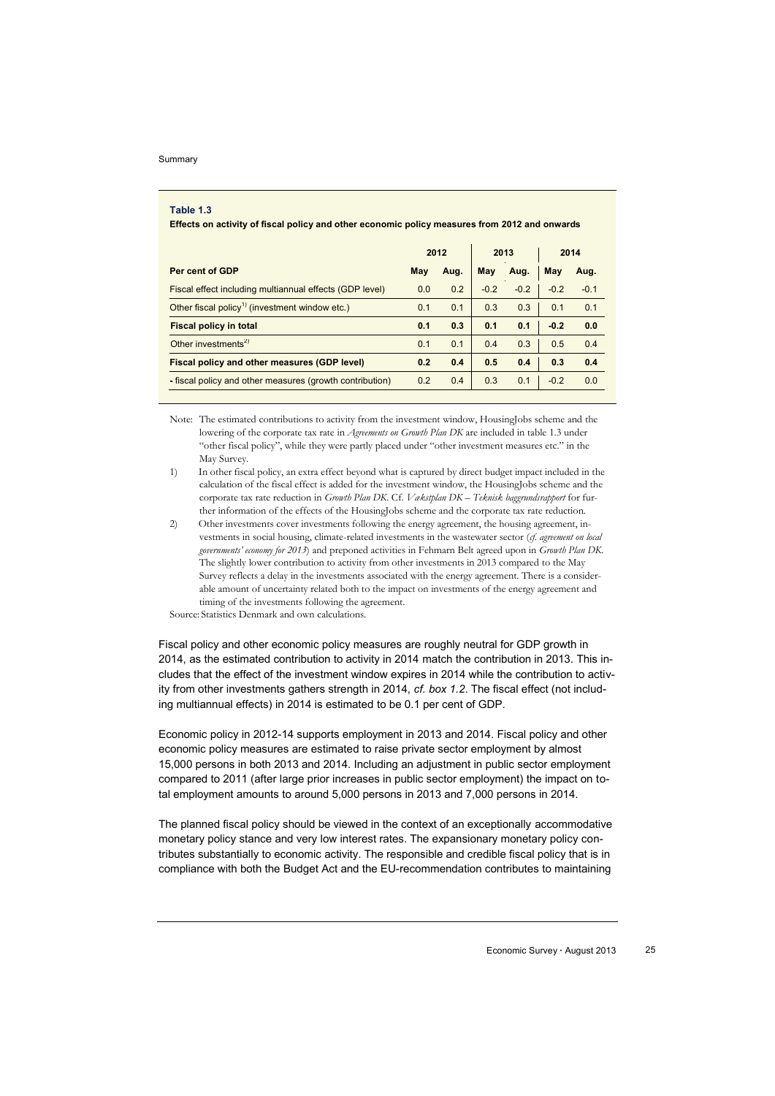$\overline{\phantom{a}}$ 

### **Table 1.3**

**Effects on activity of fiscal policy and other economic policy measures from 2012 and onwards**

|                                                            |     | 2012 |        | 2013   |        | 2014   |  |
|------------------------------------------------------------|-----|------|--------|--------|--------|--------|--|
| Per cent of GDP                                            | May | Aug. | May    | Aug.   | May    | Aug.   |  |
| Fiscal effect including multiannual effects (GDP level)    | 0.0 | 0.2  | $-0.2$ | $-0.2$ | $-0.2$ | $-0.1$ |  |
| Other fiscal policy <sup>1)</sup> (investment window etc.) | 0.1 | 0.1  | 0.3    | 0.3    | 0.1    | 0.1    |  |
| <b>Fiscal policy in total</b>                              | 0.1 | 0.3  | 0.1    | 0.1    | $-0.2$ | 0.0    |  |
| Other investments <sup>2)</sup>                            | 0.1 | 0.1  | 0.4    | 0.3    | 0.5    | 0.4    |  |
| Fiscal policy and other measures (GDP level)               | 0.2 | 0.4  | 0.5    | 0.4    | 0.3    | 0.4    |  |
| - fiscal policy and other measures (growth contribution)   | 0.2 | 0.4  | 0.3    | 0.1    | $-0.2$ | 0.0    |  |

Note: The estimated contributions to activity from the investment window, HousingJobs scheme and the lowering of the corporate tax rate in *Agreements on Growth Plan DK* are included in table 1.3 under "other fiscal policy", while they were partly placed under "other investment measures etc." in the May Survey.

- 1) In other fiscal policy, an extra effect beyond what is captured by direct budget impact included in the calculation of the fiscal effect is added for the investment window, the HousingJobs scheme and the corporate tax rate reduction in *Growth Plan DK*. Cf. *Vækstplan DK – Teknisk baggrundsrapport* for further information of the effects of the HousingJobs scheme and the corporate tax rate reduction.
- 2) Other investments cover investments following the energy agreement, the housing agreement, investments in social housing, climate-related investments in the wastewater sector (*cf. agreement on local governments' economy for 2013*) and preponed activities in Fehmarn Belt agreed upon in *Growth Plan DK*. The slightly lower contribution to activity from other investments in 2013 compared to the May Survey reflects a delay in the investments associated with the energy agreement. There is a considerable amount of uncertainty related both to the impact on investments of the energy agreement and timing of the investments following the agreement.

Source: Statistics Denmark and own calculations.

Fiscal policy and other economic policy measures are roughly neutral for GDP growth in 2014, as the estimated contribution to activity in 2014 match the contribution in 2013. This includes that the effect of the investment window expires in 2014 while the contribution to activity from other investments gathers strength in 2014, *cf. box 1.2*. The fiscal effect (not including multiannual effects) in 2014 is estimated to be 0.1 per cent of GDP.

Economic policy in 2012-14 supports employment in 2013 and 2014. Fiscal policy and other economic policy measures are estimated to raise private sector employment by almost 15,000 persons in both 2013 and 2014. Including an adjustment in public sector employment compared to 2011 (after large prior increases in public sector employment) the impact on total employment amounts to around 5,000 persons in 2013 and 7,000 persons in 2014.

The planned fiscal policy should be viewed in the context of an exceptionally accommodative monetary policy stance and very low interest rates. The expansionary monetary policy contributes substantially to economic activity. The responsible and credible fiscal policy that is in compliance with both the Budget Act and the EU-recommendation contributes to maintaining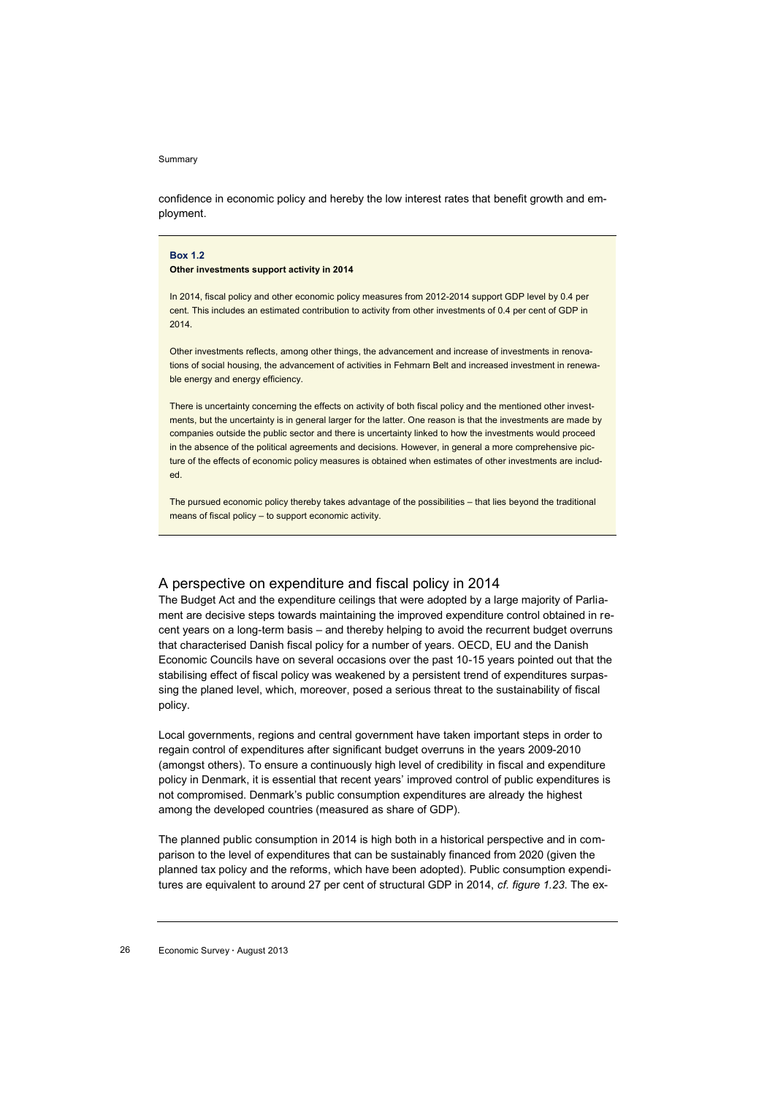confidence in economic policy and hereby the low interest rates that benefit growth and employment.

### **Box 1.2**

**Other investments support activity in 2014** 

In 2014, fiscal policy and other economic policy measures from 2012-2014 support GDP level by 0.4 per cent. This includes an estimated contribution to activity from other investments of 0.4 per cent of GDP in 2014.

Other investments reflects, among other things, the advancement and increase of investments in renovations of social housing, the advancement of activities in Fehmarn Belt and increased investment in renewable energy and energy efficiency.

There is uncertainty concerning the effects on activity of both fiscal policy and the mentioned other investments, but the uncertainty is in general larger for the latter. One reason is that the investments are made by companies outside the public sector and there is uncertainty linked to how the investments would proceed in the absence of the political agreements and decisions. However, in general a more comprehensive picture of the effects of economic policy measures is obtained when estimates of other investments are included.

The pursued economic policy thereby takes advantage of the possibilities – that lies beyond the traditional means of fiscal policy – to support economic activity.

### A perspective on expenditure and fiscal policy in 2014

The Budget Act and the expenditure ceilings that were adopted by a large majority of Parliament are decisive steps towards maintaining the improved expenditure control obtained in recent years on a long-term basis – and thereby helping to avoid the recurrent budget overruns that characterised Danish fiscal policy for a number of years. OECD, EU and the Danish Economic Councils have on several occasions over the past 10-15 years pointed out that the stabilising effect of fiscal policy was weakened by a persistent trend of expenditures surpassing the planed level, which, moreover, posed a serious threat to the sustainability of fiscal policy.

Local governments, regions and central government have taken important steps in order to regain control of expenditures after significant budget overruns in the years 2009-2010 (amongst others). To ensure a continuously high level of credibility in fiscal and expenditure policy in Denmark, it is essential that recent years' improved control of public expenditures is not compromised. Denmark's public consumption expenditures are already the highest among the developed countries (measured as share of GDP).

The planned public consumption in 2014 is high both in a historical perspective and in comparison to the level of expenditures that can be sustainably financed from 2020 (given the planned tax policy and the reforms, which have been adopted). Public consumption expenditures are equivalent to around 27 per cent of structural GDP in 2014, *cf. figure 1.23*. The ex-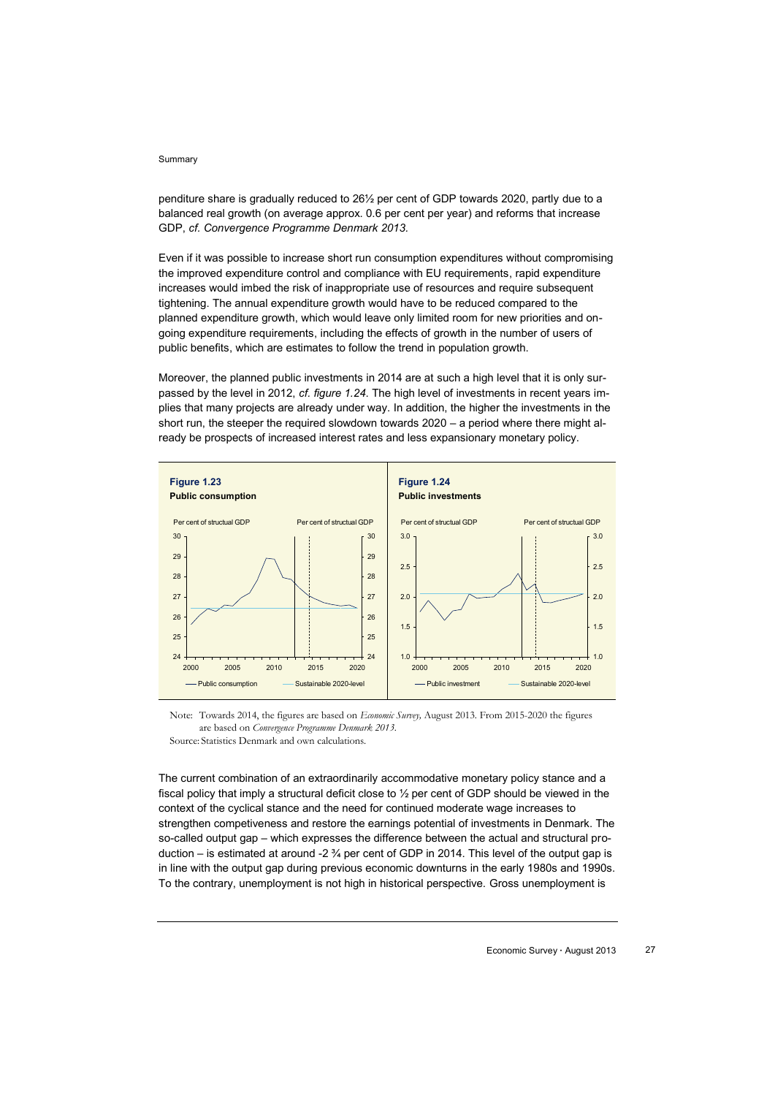penditure share is gradually reduced to 26½ per cent of GDP towards 2020, partly due to a balanced real growth (on average approx. 0.6 per cent per year) and reforms that increase GDP, *cf. Convergence Programme Denmark 2013.*

Even if it was possible to increase short run consumption expenditures without compromising the improved expenditure control and compliance with EU requirements, rapid expenditure increases would imbed the risk of inappropriate use of resources and require subsequent tightening. The annual expenditure growth would have to be reduced compared to the planned expenditure growth, which would leave only limited room for new priorities and ongoing expenditure requirements, including the effects of growth in the number of users of public benefits, which are estimates to follow the trend in population growth.

Moreover, the planned public investments in 2014 are at such a high level that it is only surpassed by the level in 2012, *cf. figure 1.24*. The high level of investments in recent years implies that many projects are already under way. In addition, the higher the investments in the short run, the steeper the required slowdown towards 2020 – a period where there might already be prospects of increased interest rates and less expansionary monetary policy.





The current combination of an extraordinarily accommodative monetary policy stance and a fiscal policy that imply a structural deficit close to ½ per cent of GDP should be viewed in the context of the cyclical stance and the need for continued moderate wage increases to strengthen competiveness and restore the earnings potential of investments in Denmark. The so-called output gap – which expresses the difference between the actual and structural production – is estimated at around -2  $\frac{3}{4}$  per cent of GDP in 2014. This level of the output gap is in line with the output gap during previous economic downturns in the early 1980s and 1990s. To the contrary, unemployment is not high in historical perspective. Gross unemployment is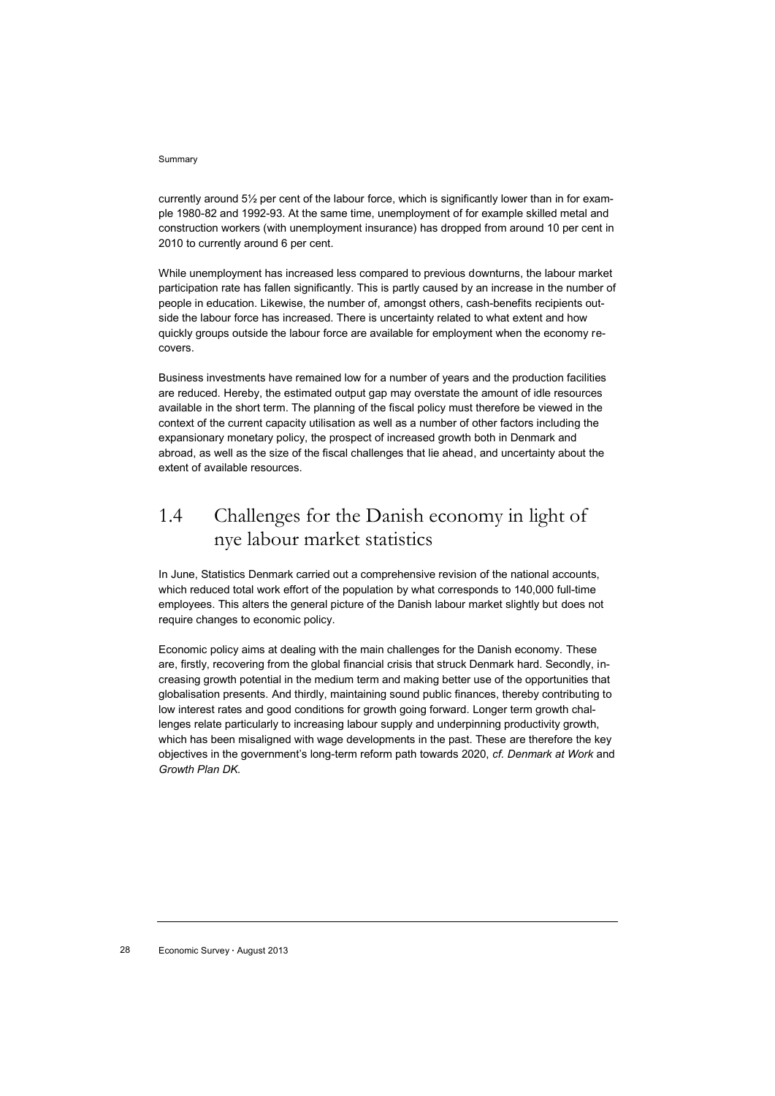currently around 5½ per cent of the labour force, which is significantly lower than in for example 1980-82 and 1992-93. At the same time, unemployment of for example skilled metal and construction workers (with unemployment insurance) has dropped from around 10 per cent in 2010 to currently around 6 per cent*.*

While unemployment has increased less compared to previous downturns, the labour market participation rate has fallen significantly. This is partly caused by an increase in the number of people in education. Likewise, the number of, amongst others, cash-benefits recipients outside the labour force has increased. There is uncertainty related to what extent and how quickly groups outside the labour force are available for employment when the economy recovers.

Business investments have remained low for a number of years and the production facilities are reduced. Hereby, the estimated output gap may overstate the amount of idle resources available in the short term. The planning of the fiscal policy must therefore be viewed in the context of the current capacity utilisation as well as a number of other factors including the expansionary monetary policy, the prospect of increased growth both in Denmark and abroad, as well as the size of the fiscal challenges that lie ahead, and uncertainty about the extent of available resources.

# 1.4 Challenges for the Danish economy in light of nye labour market statistics

In June, Statistics Denmark carried out a comprehensive revision of the national accounts, which reduced total work effort of the population by what corresponds to 140,000 full-time employees. This alters the general picture of the Danish labour market slightly but does not require changes to economic policy.

Economic policy aims at dealing with the main challenges for the Danish economy. These are, firstly, recovering from the global financial crisis that struck Denmark hard. Secondly, increasing growth potential in the medium term and making better use of the opportunities that globalisation presents. And thirdly, maintaining sound public finances, thereby contributing to low interest rates and good conditions for growth going forward. Longer term growth challenges relate particularly to increasing labour supply and underpinning productivity growth, which has been misaligned with wage developments in the past. These are therefore the key objectives in the government's long-term reform path towards 2020, *cf. Denmark at Work* and *Growth Plan DK.*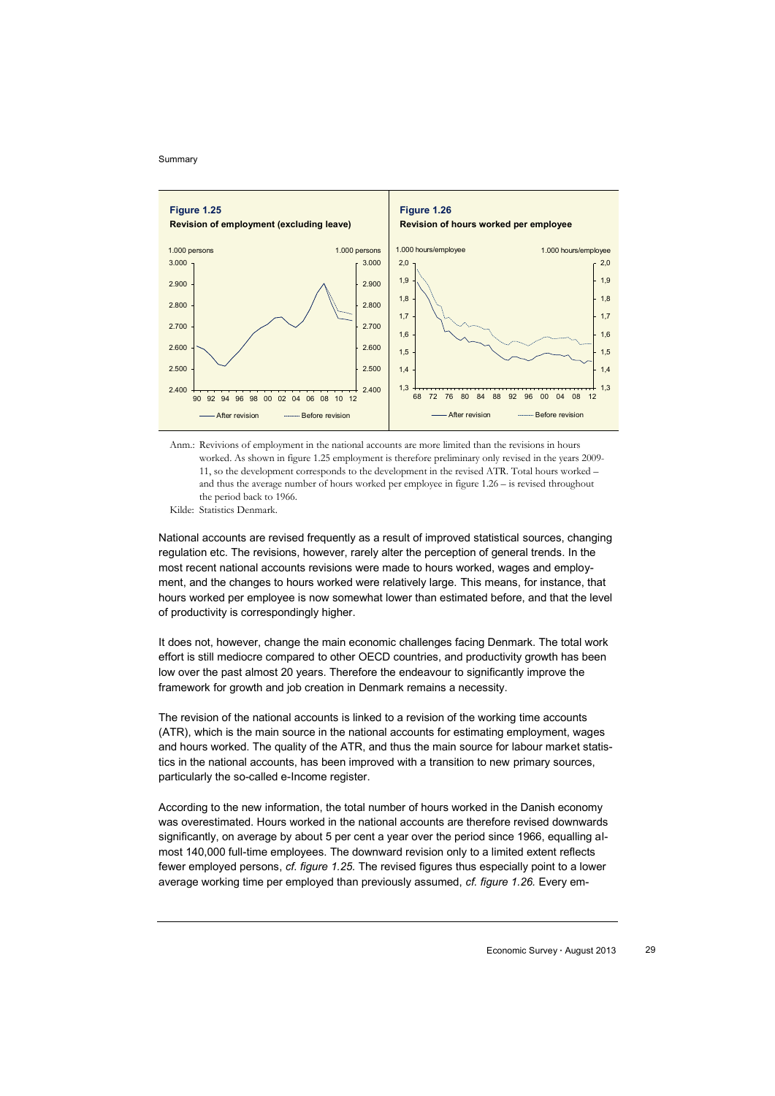

Anm.: Revivions of employment in the national accounts are more limited than the revisions in hours worked. As shown in figure 1.25 employment is therefore preliminary only revised in the years 2009- 11, so the development corresponds to the development in the revised ATR. Total hours worked – and thus the average number of hours worked per employee in figure 1.26 – is revised throughout the period back to 1966.

Kilde: Statistics Denmark.

National accounts are revised frequently as a result of improved statistical sources, changing regulation etc. The revisions, however, rarely alter the perception of general trends. In the most recent national accounts revisions were made to hours worked, wages and employment, and the changes to hours worked were relatively large. This means, for instance, that hours worked per employee is now somewhat lower than estimated before, and that the level of productivity is correspondingly higher.

It does not, however, change the main economic challenges facing Denmark. The total work effort is still mediocre compared to other OECD countries, and productivity growth has been low over the past almost 20 years. Therefore the endeavour to significantly improve the framework for growth and job creation in Denmark remains a necessity.

The revision of the national accounts is linked to a revision of the working time accounts (ATR), which is the main source in the national accounts for estimating employment, wages and hours worked. The quality of the ATR, and thus the main source for labour market statistics in the national accounts, has been improved with a transition to new primary sources, particularly the so-called e-Income register.

According to the new information, the total number of hours worked in the Danish economy was overestimated. Hours worked in the national accounts are therefore revised downwards significantly, on average by about 5 per cent a year over the period since 1966, equalling almost 140,000 full-time employees. The downward revision only to a limited extent reflects fewer employed persons, *cf. figure 1.25.* The revised figures thus especially point to a lower average working time per employed than previously assumed, *cf. figure 1.26.* Every em-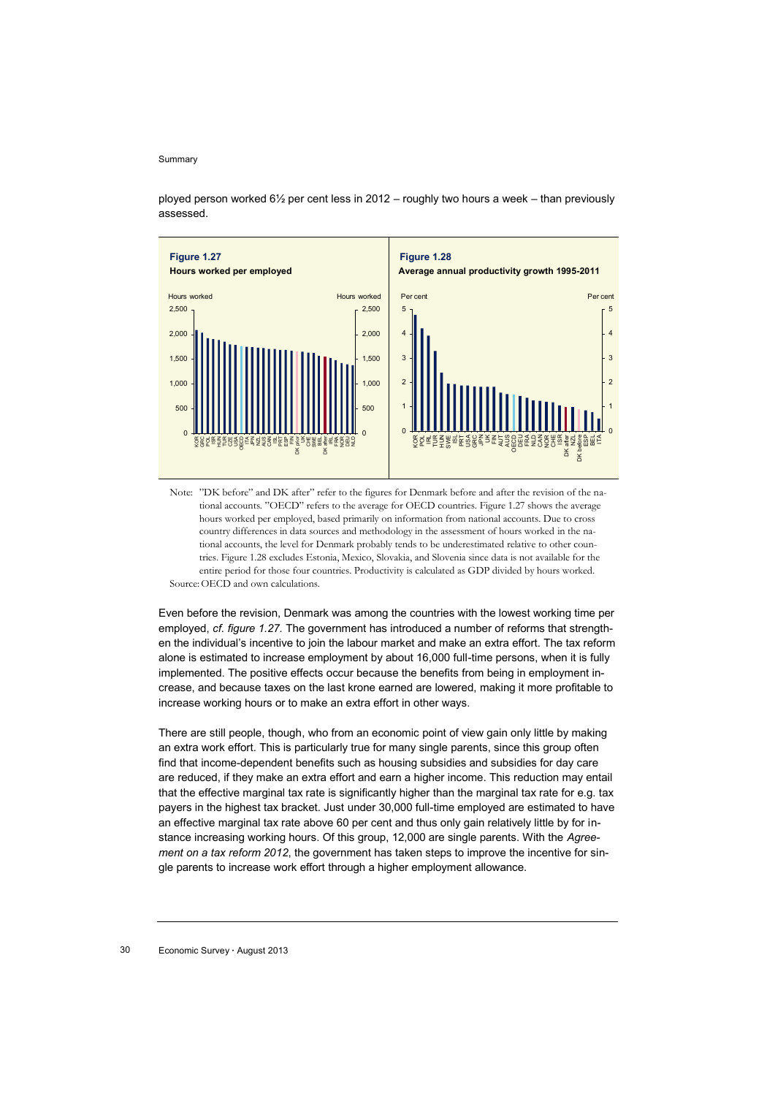ployed person worked 6½ per cent less in 2012 – roughly two hours a week – than previously assessed.



Note: "DK before" and DK after" refer to the figures for Denmark before and after the revision of the national accounts. "OECD" refers to the average for OECD countries. Figure 1.27 shows the average hours worked per employed, based primarily on information from national accounts. Due to cross country differences in data sources and methodology in the assessment of hours worked in the national accounts, the level for Denmark probably tends to be underestimated relative to other countries. Figure 1.28 excludes Estonia, Mexico, Slovakia, and Slovenia since data is not available for the entire period for those four countries. Productivity is calculated as GDP divided by hours worked. Source:OECD and own calculations.

Even before the revision, Denmark was among the countries with the lowest working time per employed, *cf. figure 1.27.* The government has introduced a number of reforms that strengthen the individual's incentive to join the labour market and make an extra effort. The tax reform alone is estimated to increase employment by about 16,000 full-time persons, when it is fully implemented. The positive effects occur because the benefits from being in employment increase, and because taxes on the last krone earned are lowered, making it more profitable to increase working hours or to make an extra effort in other ways.

There are still people, though, who from an economic point of view gain only little by making an extra work effort. This is particularly true for many single parents, since this group often find that income-dependent benefits such as housing subsidies and subsidies for day care are reduced, if they make an extra effort and earn a higher income. This reduction may entail that the effective marginal tax rate is significantly higher than the marginal tax rate for e.g. tax payers in the highest tax bracket. Just under 30,000 full-time employed are estimated to have an effective marginal tax rate above 60 per cent and thus only gain relatively little by for instance increasing working hours. Of this group, 12,000 are single parents. With the *Agreement on a tax reform 2012*, the government has taken steps to improve the incentive for single parents to increase work effort through a higher employment allowance.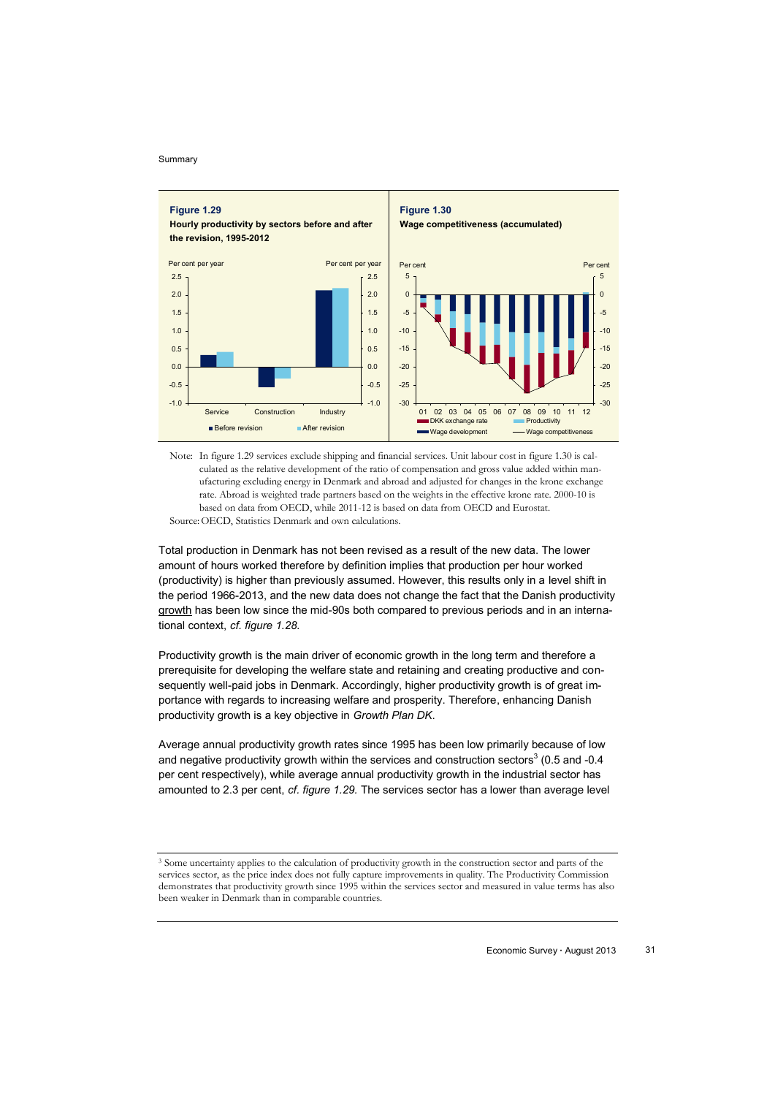

Note: In figure 1.29 services exclude shipping and financial services. Unit labour cost in figure 1.30 is calculated as the relative development of the ratio of compensation and gross value added within manufacturing excluding energy in Denmark and abroad and adjusted for changes in the krone exchange rate. Abroad is weighted trade partners based on the weights in the effective krone rate. 2000-10 is based on data from OECD, while 2011-12 is based on data from OECD and Eurostat. Source:OECD, Statistics Denmark and own calculations.

Total production in Denmark has not been revised as a result of the new data. The lower amount of hours worked therefore by definition implies that production per hour worked (productivity) is higher than previously assumed. However, this results only in a level shift in the period 1966-2013, and the new data does not change the fact that the Danish productivity growth has been low since the mid-90s both compared to previous periods and in an international context, *cf. figure 1.28.*

Productivity growth is the main driver of economic growth in the long term and therefore a prerequisite for developing the welfare state and retaining and creating productive and consequently well-paid jobs in Denmark. Accordingly, higher productivity growth is of great importance with regards to increasing welfare and prosperity. Therefore, enhancing Danish productivity growth is a key objective in *Growth Plan DK*.

Average annual productivity growth rates since 1995 has been low primarily because of low and negative productivity growth within the services and construction sectors<sup>3</sup> (0.5 and -0.4 per cent respectively), while average annual productivity growth in the industrial sector has amounted to 2.3 per cent, *cf. figure 1.29.* The services sector has a lower than average level

<sup>3</sup> Some uncertainty applies to the calculation of productivity growth in the construction sector and parts of the services sector, as the price index does not fully capture improvements in quality. The Productivity Commission demonstrates that productivity growth since 1995 within the services sector and measured in value terms has also been weaker in Denmark than in comparable countries.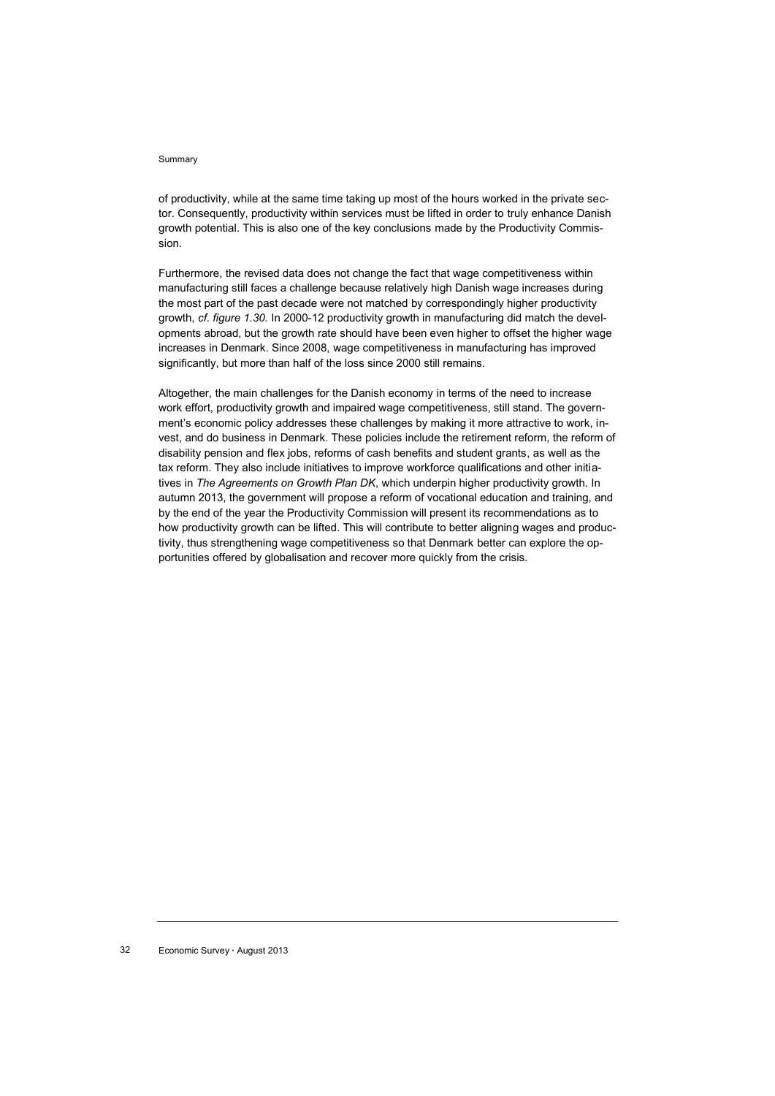of productivity, while at the same time taking up most of the hours worked in the private sector. Consequently, productivity within services must be lifted in order to truly enhance Danish growth potential. This is also one of the key conclusions made by the Productivity Commission.

Furthermore, the revised data does not change the fact that wage competitiveness within manufacturing still faces a challenge because relatively high Danish wage increases during the most part of the past decade were not matched by correspondingly higher productivity growth, *cf. figure 1.30.* In 2000-12 productivity growth in manufacturing did match the developments abroad, but the growth rate should have been even higher to offset the higher wage increases in Denmark. Since 2008, wage competitiveness in manufacturing has improved significantly, but more than half of the loss since 2000 still remains.

Altogether, the main challenges for the Danish economy in terms of the need to increase work effort, productivity growth and impaired wage competitiveness, still stand. The government's economic policy addresses these challenges by making it more attractive to work, invest, and do business in Denmark. These policies include the retirement reform, the reform of disability pension and flex jobs, reforms of cash benefits and student grants, as well as the tax reform. They also include initiatives to improve workforce qualifications and other initiatives in *The Agreements on Growth Plan DK*, which underpin higher productivity growth. In autumn 2013, the government will propose a reform of vocational education and training, and by the end of the year the Productivity Commission will present its recommendations as to how productivity growth can be lifted. This will contribute to better aligning wages and productivity, thus strengthening wage competitiveness so that Denmark better can explore the opportunities offered by globalisation and recover more quickly from the crisis.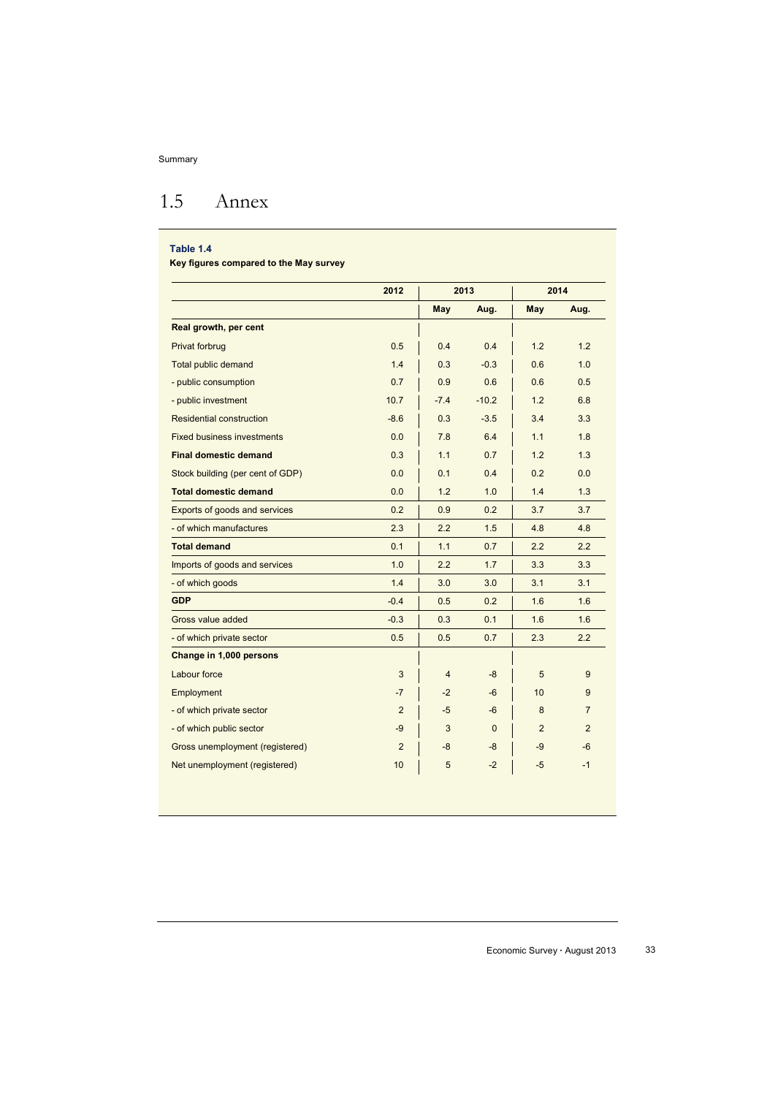# 1.5 Annex

### **Table 1.4**

I

**Key figures compared to the May survey**

|                                   | 2012           | 2013           |              | 2014           |                |
|-----------------------------------|----------------|----------------|--------------|----------------|----------------|
|                                   |                | May            | Aug.         | May            | Aug.           |
| Real growth, per cent             |                |                |              |                |                |
| Privat forbrug                    | 0.5            | 0.4            | 0.4          | 1.2            | 1.2            |
| <b>Total public demand</b>        | 1.4            | 0.3            | $-0.3$       | 0.6            | 1.0            |
| - public consumption              | 0.7            | 0.9            | 0.6          | 0.6            | 0.5            |
| - public investment               | 10.7           | $-7.4$         | $-10.2$      | 1.2            | 6.8            |
| Residential construction          | $-8.6$         | 0.3            | $-3.5$       | 3.4            | 3.3            |
| <b>Fixed business investments</b> | 0.0            | 7.8            | 6.4          | 1.1            | 1.8            |
| <b>Final domestic demand</b>      | 0.3            | 1.1            | 0.7          | 1.2            | 1.3            |
| Stock building (per cent of GDP)  | 0.0            | 0.1            | 0.4          | 0.2            | 0.0            |
| <b>Total domestic demand</b>      | 0.0            | 1.2            | 1.0          | 1.4            | 1.3            |
| Exports of goods and services     | 0.2            | 0.9            | 0.2          | 3.7            | 3.7            |
| - of which manufactures           | 2.3            | 2.2            | 1.5          | 4.8            | 4.8            |
| <b>Total demand</b>               | 0.1            | 1.1            | 0.7          | 2.2            | 2.2            |
| Imports of goods and services     | 1.0            | 2.2            | 1.7          | 3.3            | 3.3            |
| - of which goods                  | 1.4            | 3.0            | 3.0          | 3.1            | 3.1            |
| <b>GDP</b>                        | $-0.4$         | 0.5            | 0.2          | 1.6            | 1.6            |
| Gross value added                 | $-0.3$         | 0.3            | 0.1          | 1.6            | 1.6            |
| - of which private sector         | 0.5            | 0.5            | 0.7          | 2.3            | 2.2            |
| Change in 1,000 persons           |                |                |              |                |                |
| Labour force                      | 3              | $\overline{4}$ | -8           | 5              | 9              |
| Employment                        | $-7$           | $-2$           | $-6$         | 10             | 9              |
| - of which private sector         | 2              | $-5$           | $-6$         | 8              | $\overline{7}$ |
| - of which public sector          | $-9$           | 3              | $\mathbf{0}$ | $\overline{2}$ | $\overline{2}$ |
| Gross unemployment (registered)   | $\overline{2}$ | -8             | -8           | -9             | $-6$           |
| Net unemployment (registered)     | 10             | 5              | $-2$         | $-5$           | $-1$           |